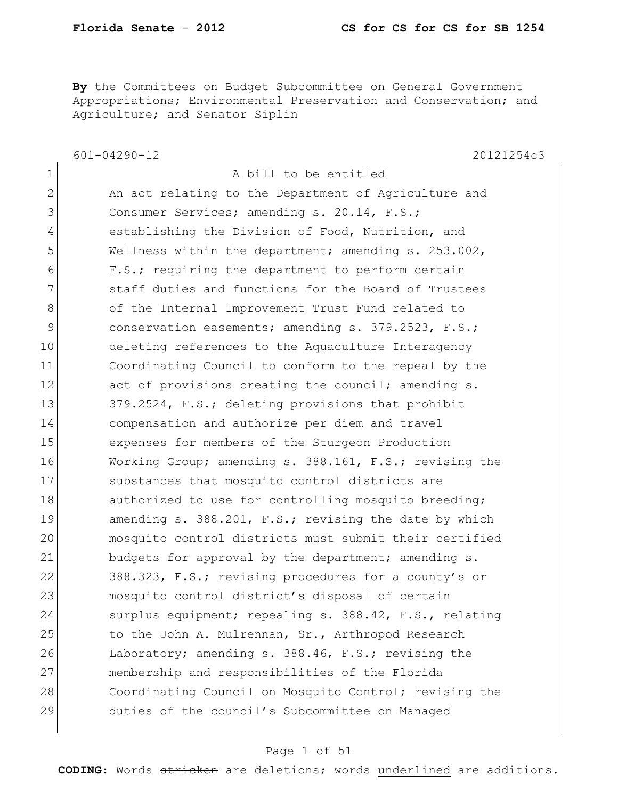**By** the Committees on Budget Subcommittee on General Government Appropriations; Environmental Preservation and Conservation; and Agriculture; and Senator Siplin

601-04290-12 20121254c3 1 a bill to be entitled 2 An act relating to the Department of Agriculture and 3 Consumer Services; amending s. 20.14, F.S.; 4 establishing the Division of Food, Nutrition, and 5 Wellness within the department; amending s. 253.002, 6 F.S.; requiring the department to perform certain 7 staff duties and functions for the Board of Trustees 8 of the Internal Improvement Trust Fund related to 9 conservation easements; amending s. 379.2523, F.S.; 10 deleting references to the Aquaculture Interagency 11 Coordinating Council to conform to the repeal by the 12 act of provisions creating the council; amending s. 13 379.2524, F.S.; deleting provisions that prohibit 14 compensation and authorize per diem and travel 15 expenses for members of the Sturgeon Production 16 Working Group; amending s. 388.161, F.S.; revising the 17 Substances that mosquito control districts are 18 authorized to use for controlling mosquito breeding; 19 amending s. 388.201, F.S.; revising the date by which 20 mosquito control districts must submit their certified 21 budgets for approval by the department; amending s. 22 388.323, F.S.; revising procedures for a county's or 23 mosquito control district's disposal of certain 24 Surplus equipment; repealing s. 388.42, F.S., relating 25 to the John A. Mulrennan, Sr., Arthropod Research 26 Laboratory; amending s. 388.46, F.S.; revising the 27 membership and responsibilities of the Florida 28 Coordinating Council on Mosquito Control; revising the 29 duties of the council's Subcommittee on Managed

#### Page 1 of 51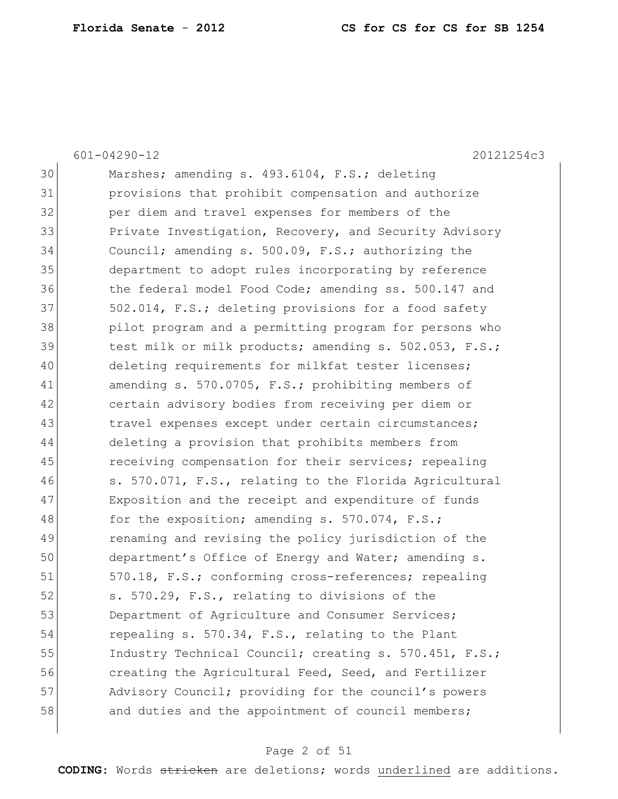601-04290-12 20121254c3 30 Marshes; amending s. 493.6104, F.S.; deleting 31 provisions that prohibit compensation and authorize 32 per diem and travel expenses for members of the 33 Private Investigation, Recovery, and Security Advisory 34 Council; amending s. 500.09, F.S.; authorizing the 35 department to adopt rules incorporating by reference 36 the federal model Food Code; amending ss. 500.147 and 37 502.014, F.S.; deleting provisions for a food safety 38 pilot program and a permitting program for persons who 39 test milk or milk products; amending s. 502.053, F.S.; 40 deleting requirements for milkfat tester licenses; 41 amending s. 570.0705, F.S.; prohibiting members of 42 certain advisory bodies from receiving per diem or 43 1 travel expenses except under certain circumstances; 44 deleting a provision that prohibits members from 45 receiving compensation for their services; repealing 46 s. 570.071, F.S., relating to the Florida Agricultural 47 Exposition and the receipt and expenditure of funds 48 for the exposition; amending s. 570.074, F.S.; 49 renaming and revising the policy jurisdiction of the 50 department's Office of Energy and Water; amending s. 51 570.18, F.S.; conforming cross-references; repealing 52 s. 570.29, F.S., relating to divisions of the 53 Department of Agriculture and Consumer Services; 54 repealing s. 570.34, F.S., relating to the Plant 55 Industry Technical Council; creating s. 570.451, F.S.; 56 creating the Agricultural Feed, Seed, and Fertilizer 57 Advisory Council; providing for the council's powers 58 and duties and the appointment of council members;

#### Page 2 of 51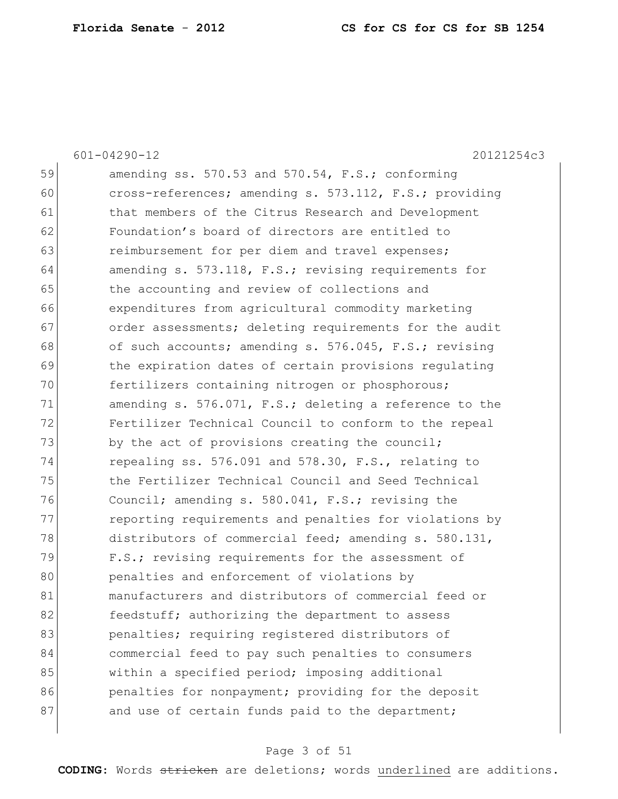601-04290-12 20121254c3

 $59$  amending ss. 570.53 and 570.54, F.S.; conforming 60 cross-references; amending s. 573.112, F.S.; providing 61 bhat members of the Citrus Research and Development 62 Foundation's board of directors are entitled to 63 **reimbursement for per diem and travel expenses;** 64 amending s. 573.118, F.S.; revising requirements for 65 the accounting and review of collections and 66 expenditures from agricultural commodity marketing 67 order assessments; deleting requirements for the audit 68 of such accounts; amending s. 576.045, F.S.; revising 69 the expiration dates of certain provisions regulating 70 **fertilizers** containing nitrogen or phosphorous; 71 amending s. 576.071, F.S.; deleting a reference to the 72 Fertilizer Technical Council to conform to the repeal 73 by the act of provisions creating the council; 74 repealing ss. 576.091 and 578.30, F.S., relating to 75 the Fertilizer Technical Council and Seed Technical 76 Council; amending s. 580.041, F.S.; revising the 77 reporting requirements and penalties for violations by 78 distributors of commercial feed; amending s. 580.131, 79 F.S.; revising requirements for the assessment of 80 **penalties and enforcement of violations by** 81 manufacturers and distributors of commercial feed or 82 **feedstuff;** authorizing the department to assess 83 benalties; requiring registered distributors of 84 commercial feed to pay such penalties to consumers 85 within a specified period; imposing additional 86 **penalties for nonpayment;** providing for the deposit 87 and use of certain funds paid to the department;

#### Page 3 of 51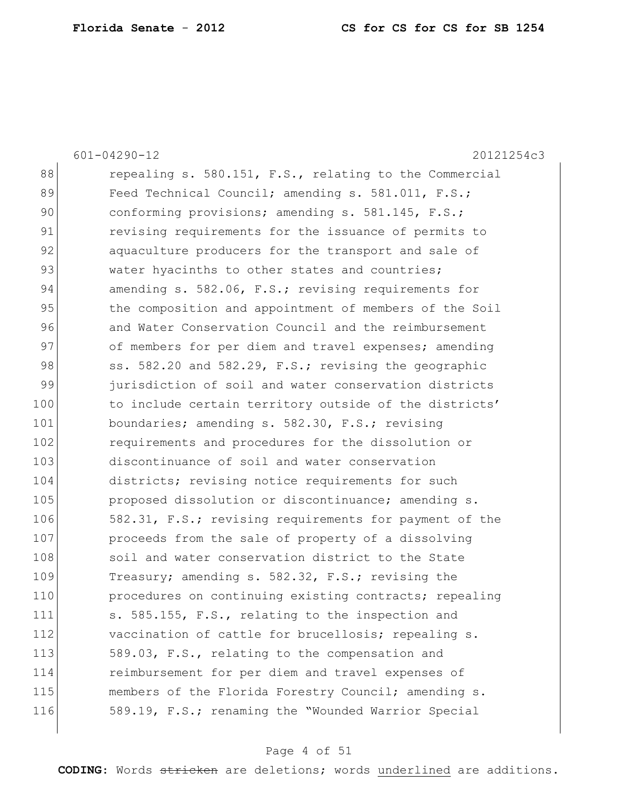|     | $601 - 04290 - 12$<br>20121254c3                       |
|-----|--------------------------------------------------------|
| 88  | repealing s. 580.151, F.S., relating to the Commercial |
| 89  | Feed Technical Council; amending s. 581.011, F.S.;     |
| 90  | conforming provisions; amending s. 581.145, F.S.;      |
| 91  | revising requirements for the issuance of permits to   |
| 92  | aquaculture producers for the transport and sale of    |
| 93  | water hyacinths to other states and countries;         |
| 94  | amending s. 582.06, F.S.; revising requirements for    |
| 95  | the composition and appointment of members of the Soil |
| 96  | and Water Conservation Council and the reimbursement   |
| 97  | of members for per diem and travel expenses; amending  |
| 98  | ss. 582.20 and 582.29, F.S.; revising the geographic   |
| 99  | jurisdiction of soil and water conservation districts  |
| 100 | to include certain territory outside of the districts' |
| 101 | boundaries; amending s. 582.30, F.S.; revising         |
| 102 | requirements and procedures for the dissolution or     |
| 103 | discontinuance of soil and water conservation          |
| 104 | districts; revising notice requirements for such       |
| 105 | proposed dissolution or discontinuance; amending s.    |
| 106 | 582.31, F.S.; revising requirements for payment of the |
| 107 | proceeds from the sale of property of a dissolving     |
| 108 | soil and water conservation district to the State      |
| 109 | Treasury; amending s. 582.32, F.S.; revising the       |
| 110 | procedures on continuing existing contracts; repealing |
| 111 | s. 585.155, F.S., relating to the inspection and       |
| 112 | vaccination of cattle for brucellosis; repealing s.    |
| 113 | 589.03, F.S., relating to the compensation and         |
| 114 | reimbursement for per diem and travel expenses of      |
| 115 | members of the Florida Forestry Council; amending s.   |
| 116 | 589.19, F.S.; renaming the "Wounded Warrior Special    |
|     |                                                        |

# Page 4 of 51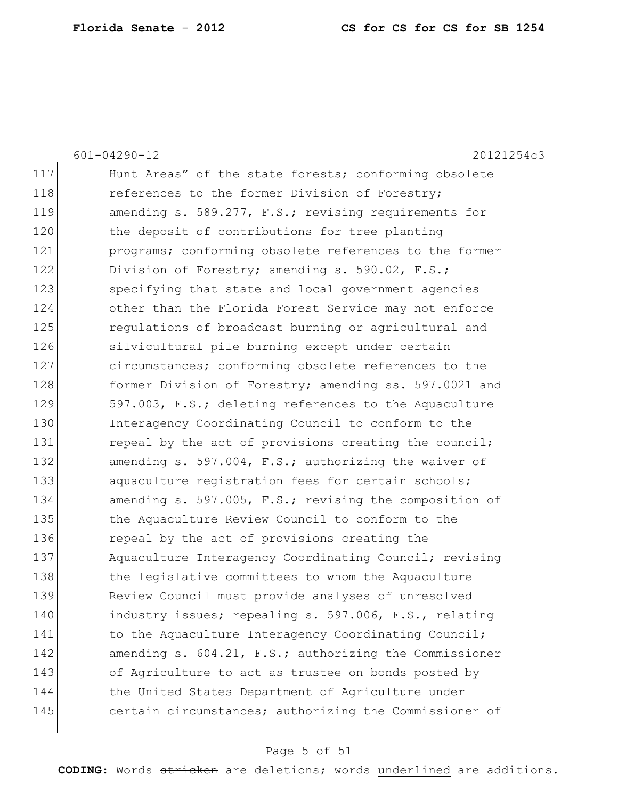601-04290-12 20121254c3

|     | し コ ム ノ い<br>4 0 1 4 1 4 0                             |
|-----|--------------------------------------------------------|
| 117 | Hunt Areas" of the state forests; conforming obsolete  |
| 118 | references to the former Division of Forestry;         |
| 119 | amending s. 589.277, F.S.; revising requirements for   |
| 120 | the deposit of contributions for tree planting         |
| 121 | programs; conforming obsolete references to the former |
| 122 | Division of Forestry; amending s. 590.02, F.S.;        |
| 123 | specifying that state and local government agencies    |
| 124 | other than the Florida Forest Service may not enforce  |
| 125 | regulations of broadcast burning or agricultural and   |
| 126 | silvicultural pile burning except under certain        |
| 127 | circumstances; conforming obsolete references to the   |
| 128 | former Division of Forestry; amending ss. 597.0021 and |
| 129 | 597.003, F.S.; deleting references to the Aquaculture  |
| 130 | Interagency Coordinating Council to conform to the     |
| 131 | repeal by the act of provisions creating the council;  |
| 132 | amending s. 597.004, F.S.; authorizing the waiver of   |
| 133 | aquaculture registration fees for certain schools;     |
| 134 | amending s. 597.005, F.S.; revising the composition of |
| 135 | the Aquaculture Review Council to conform to the       |
| 136 | repeal by the act of provisions creating the           |
| 137 | Aquaculture Interagency Coordinating Council; revising |
| 138 | the legislative committees to whom the Aquaculture     |
| 139 | Review Council must provide analyses of unresolved     |
| 140 | industry issues; repealing s. 597.006, F.S., relating  |
| 141 | to the Aquaculture Interagency Coordinating Council;   |
| 142 | amending s. 604.21, F.S.; authorizing the Commissioner |
| 143 | of Agriculture to act as trustee on bonds posted by    |
| 144 | the United States Department of Agriculture under      |
| 145 | certain circumstances; authorizing the Commissioner of |
|     |                                                        |

# Page 5 of 51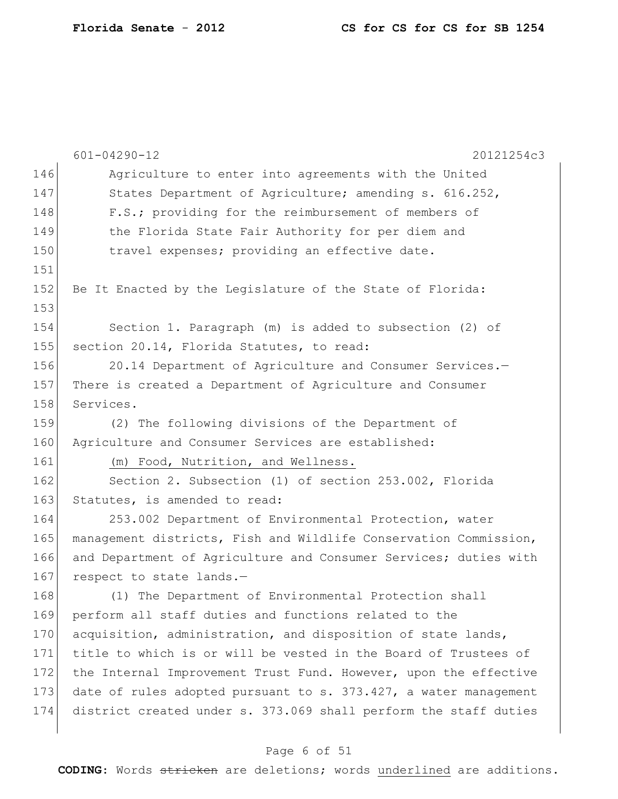|     | $601 - 04290 - 12$<br>20121254c3                                 |
|-----|------------------------------------------------------------------|
| 146 | Agriculture to enter into agreements with the United             |
| 147 | States Department of Agriculture; amending s. 616.252,           |
| 148 | F.S.; providing for the reimbursement of members of              |
| 149 | the Florida State Fair Authority for per diem and                |
| 150 | travel expenses; providing an effective date.                    |
| 151 |                                                                  |
| 152 | Be It Enacted by the Legislature of the State of Florida:        |
| 153 |                                                                  |
| 154 | Section 1. Paragraph (m) is added to subsection (2) of           |
| 155 | section 20.14, Florida Statutes, to read:                        |
| 156 | 20.14 Department of Agriculture and Consumer Services.-          |
| 157 | There is created a Department of Agriculture and Consumer        |
| 158 | Services.                                                        |
| 159 | (2) The following divisions of the Department of                 |
| 160 | Agriculture and Consumer Services are established:               |
| 161 | (m) Food, Nutrition, and Wellness.                               |
| 162 | Section 2. Subsection (1) of section 253.002, Florida            |
| 163 | Statutes, is amended to read:                                    |
| 164 | 253.002 Department of Environmental Protection, water            |
| 165 | management districts, Fish and Wildlife Conservation Commission, |
| 166 | and Department of Agriculture and Consumer Services; duties with |
| 167 | respect to state lands.-                                         |
| 168 | (1) The Department of Environmental Protection shall             |
| 169 | perform all staff duties and functions related to the            |
| 170 | acquisition, administration, and disposition of state lands,     |
| 171 | title to which is or will be vested in the Board of Trustees of  |
| 172 | the Internal Improvement Trust Fund. However, upon the effective |
| 173 | date of rules adopted pursuant to s. 373.427, a water management |
| 174 | district created under s. 373.069 shall perform the staff duties |
|     |                                                                  |

# Page 6 of 51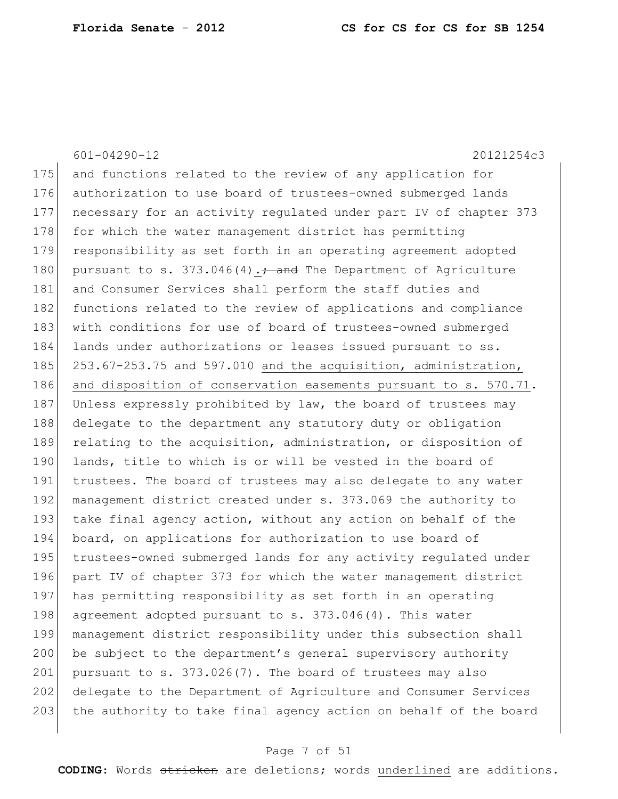601-04290-12 20121254c3 175 and functions related to the review of any application for 176 authorization to use board of trustees-owned submerged lands 177 necessary for an activity regulated under part IV of chapter 373 178 for which the water management district has permitting 179 responsibility as set forth in an operating agreement adopted 180 pursuant to s.  $373.046(4)$ .  $\div$  and The Department of Agriculture 181 and Consumer Services shall perform the staff duties and 182 functions related to the review of applications and compliance 183 with conditions for use of board of trustees-owned submerged 184 lands under authorizations or leases issued pursuant to ss. 185 253.67-253.75 and 597.010 and the acquisition, administration, 186 and disposition of conservation easements pursuant to s. 570.71. 187 Unless expressly prohibited by law, the board of trustees may 188 delegate to the department any statutory duty or obligation 189 relating to the acquisition, administration, or disposition of 190 lands, title to which is or will be vested in the board of 191 trustees. The board of trustees may also delegate to any water 192 management district created under s. 373.069 the authority to 193 take final agency action, without any action on behalf of the 194 board, on applications for authorization to use board of 195 trustees-owned submerged lands for any activity regulated under 196 part IV of chapter 373 for which the water management district 197 has permitting responsibility as set forth in an operating 198 agreement adopted pursuant to s. 373.046(4). This water 199 management district responsibility under this subsection shall 200 be subject to the department's general supervisory authority 201 pursuant to s.  $373.026(7)$ . The board of trustees may also 202 delegate to the Department of Agriculture and Consumer Services 203 the authority to take final agency action on behalf of the board

#### Page 7 of 51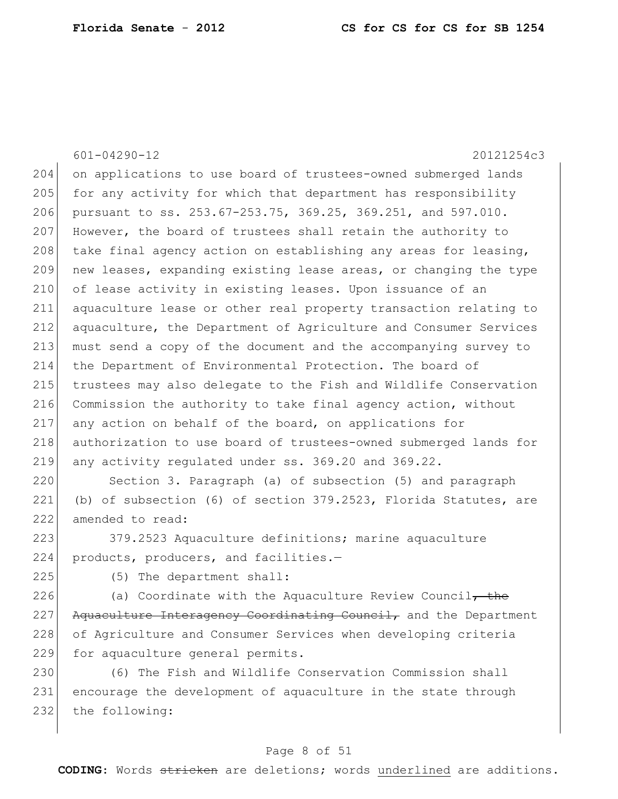|     | $601 - 04290 - 12$<br>20121254c3                                                                                                                    |
|-----|-----------------------------------------------------------------------------------------------------------------------------------------------------|
| 204 |                                                                                                                                                     |
|     | on applications to use board of trustees-owned submerged lands                                                                                      |
| 205 | for any activity for which that department has responsibility                                                                                       |
| 206 | pursuant to ss. 253.67-253.75, 369.25, 369.251, and 597.010.                                                                                        |
| 207 | However, the board of trustees shall retain the authority to                                                                                        |
| 208 | take final agency action on establishing any areas for leasing,                                                                                     |
| 209 | new leases, expanding existing lease areas, or changing the type                                                                                    |
| 210 | of lease activity in existing leases. Upon issuance of an                                                                                           |
| 211 | aquaculture lease or other real property transaction relating to                                                                                    |
| 212 | aquaculture, the Department of Agriculture and Consumer Services                                                                                    |
| 213 | must send a copy of the document and the accompanying survey to                                                                                     |
| 214 | the Department of Environmental Protection. The board of                                                                                            |
| 215 | trustees may also delegate to the Fish and Wildlife Conservation                                                                                    |
| 216 | Commission the authority to take final agency action, without                                                                                       |
| 217 | any action on behalf of the board, on applications for                                                                                              |
| 218 | authorization to use board of trustees-owned submerged lands for                                                                                    |
| 219 | any activity regulated under ss. 369.20 and 369.22.                                                                                                 |
| 220 | Section 3. Paragraph (a) of subsection (5) and paragraph                                                                                            |
| 221 | (b) of subsection (6) of section 379.2523, Florida Statutes, are                                                                                    |
| 222 | amended to read:                                                                                                                                    |
| 223 | 379.2523 Aquaculture definitions; marine aquaculture                                                                                                |
| 224 | products, producers, and facilities.-                                                                                                               |
| 225 | (5) The department shall:                                                                                                                           |
| 226 | (a) Coordinate with the Aquaculture Review Council $\tau$ the                                                                                       |
| 227 | Aquaculture Interagency Coordinating Council, and the Department                                                                                    |
| 228 | of Agriculture and Consumer Services when developing criteria                                                                                       |
| 229 | for aquaculture general permits.                                                                                                                    |
| 230 | (6) The Fish and Wildlife Conservation Commission shall                                                                                             |
| つつ1 | the development of $\alpha$ $\alpha$ $\beta$ $\beta$ $\beta$ $\gamma$ $\beta$ $\gamma$ $\beta$ $\gamma$ $\beta$ $\gamma$ $\gamma$ $\gamma$ $\gamma$ |

231 encourage the development of aquaculture in the state through 232 the following:

# Page 8 of 51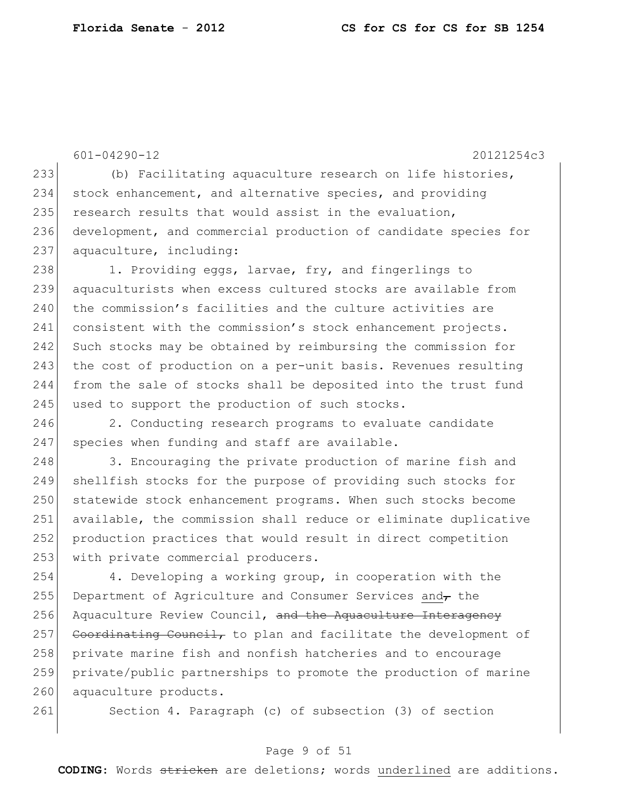601-04290-12 20121254c3

233 (b) Facilitating aquaculture research on life histories, 234 stock enhancement, and alternative species, and providing 235 research results that would assist in the evaluation, 236 development, and commercial production of candidate species for 237 aquaculture, including:

238 1. Providing eggs, larvae, fry, and fingerlings to 239 aquaculturists when excess cultured stocks are available from 240 the commission's facilities and the culture activities are 241 consistent with the commission's stock enhancement projects. 242 Such stocks may be obtained by reimbursing the commission for 243 the cost of production on a per-unit basis. Revenues resulting 244 from the sale of stocks shall be deposited into the trust fund 245 used to support the production of such stocks.

246 2. Conducting research programs to evaluate candidate 247 species when funding and staff are available.

248 3. Encouraging the private production of marine fish and 249 shellfish stocks for the purpose of providing such stocks for 250 statewide stock enhancement programs. When such stocks become 251 available, the commission shall reduce or eliminate duplicative 252 production practices that would result in direct competition 253 with private commercial producers.

254 4. Developing a working group, in cooperation with the 255 Department of Agriculture and Consumer Services and the 256 Aquaculture Review Council, and the Aquaculture Interagency  $257$  Coordinating Council, to plan and facilitate the development of 258 private marine fish and nonfish hatcheries and to encourage 259 private/public partnerships to promote the production of marine 260 aquaculture products.

261 Section 4. Paragraph (c) of subsection (3) of section

## Page 9 of 51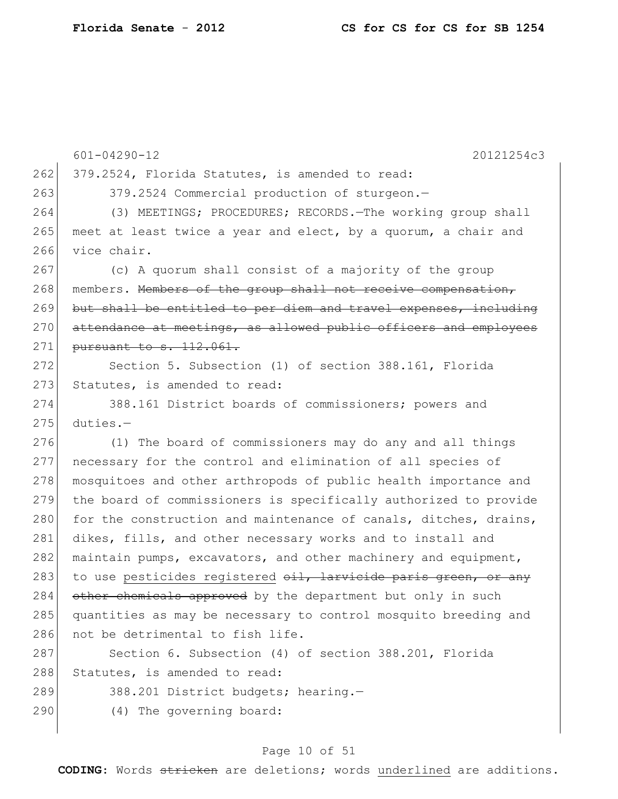|     | $601 - 04290 - 12$<br>20121254c3                                 |
|-----|------------------------------------------------------------------|
| 262 | 379.2524, Florida Statutes, is amended to read:                  |
| 263 | 379.2524 Commercial production of sturgeon.-                     |
| 264 | (3) MEETINGS; PROCEDURES; RECORDS. The working group shall       |
| 265 | meet at least twice a year and elect, by a quorum, a chair and   |
| 266 | vice chair.                                                      |
| 267 | (c) A quorum shall consist of a majority of the group            |
| 268 | members. Members of the group shall not receive compensation,    |
| 269 | but shall be entitled to per diem and travel expenses, including |
| 270 | attendance at meetings, as allowed public officers and employees |
| 271 | pursuant to s. 112.061.                                          |
| 272 | Section 5. Subsection (1) of section 388.161, Florida            |
| 273 | Statutes, is amended to read:                                    |
| 274 | 388.161 District boards of commissioners; powers and             |
| 275 | $duties. -$                                                      |
| 276 | (1) The board of commissioners may do any and all things         |
| 277 | necessary for the control and elimination of all species of      |
| 278 | mosquitoes and other arthropods of public health importance and  |
| 279 | the board of commissioners is specifically authorized to provide |
| 280 | for the construction and maintenance of canals, ditches, drains, |
| 281 | dikes, fills, and other necessary works and to install and       |
| 282 | maintain pumps, excavators, and other machinery and equipment,   |
| 283 | to use pesticides registered oil, larvicide paris green, or any  |
| 284 | other chemicals approved by the department but only in such      |
| 285 | quantities as may be necessary to control mosquito breeding and  |
| 286 | not be detrimental to fish life.                                 |
| 287 | Section 6. Subsection (4) of section 388.201, Florida            |
| 288 | Statutes, is amended to read:                                    |
| 289 | 388.201 District budgets; hearing.-                              |
| 290 | (4) The governing board:                                         |
|     |                                                                  |

# Page 10 of 51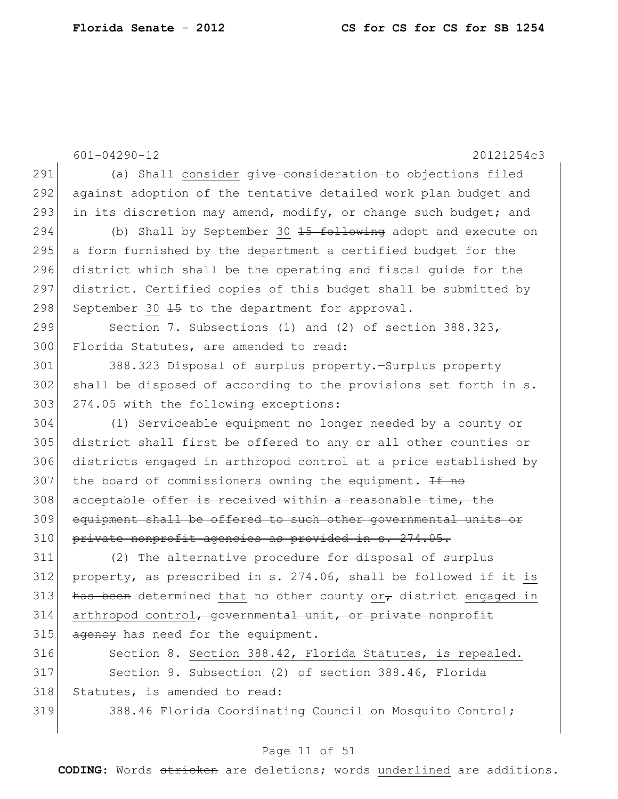601-04290-12 20121254c3 291 (a) Shall consider give consideration to objections filed 292 against adoption of the tentative detailed work plan budget and 293 in its discretion may amend, modify, or change such budget; and 294 (b) Shall by September 30 <del>15 following</del> adopt and execute on 295 a form furnished by the department a certified budget for the 296 district which shall be the operating and fiscal guide for the 297 district. Certified copies of this budget shall be submitted by 298 September 30  $\pm$ 5 to the department for approval. 299 Section 7. Subsections (1) and (2) of section 388.323, 300 Florida Statutes, are amended to read: 301 388.323 Disposal of surplus property.—Surplus property 302 shall be disposed of according to the provisions set forth in s. 303 274.05 with the following exceptions: 304 (1) Serviceable equipment no longer needed by a county or 305 district shall first be offered to any or all other counties or 306 districts engaged in arthropod control at a price established by 307 the board of commissioners owning the equipment.  $\pm f$  no 308 acceptable offer is received within a reasonable time, the 309 equipment shall be offered to such other governmental units or 310 private nonprofit agencies as provided in s. 274.05. 311 (2) The alternative procedure for disposal of surplus 312 property, as prescribed in s. 274.06, shall be followed if it is 313 has been determined that no other county or $_{\tau}$  district engaged in  $314$  arthropod control, governmental unit, or private nonprofit  $315$  ageney has need for the equipment. 316 Section 8. Section 388.42, Florida Statutes, is repealed. 317 Section 9. Subsection (2) of section 388.46, Florida 318 Statutes, is amended to read: 319 388.46 Florida Coordinating Council on Mosquito Control;

#### Page 11 of 51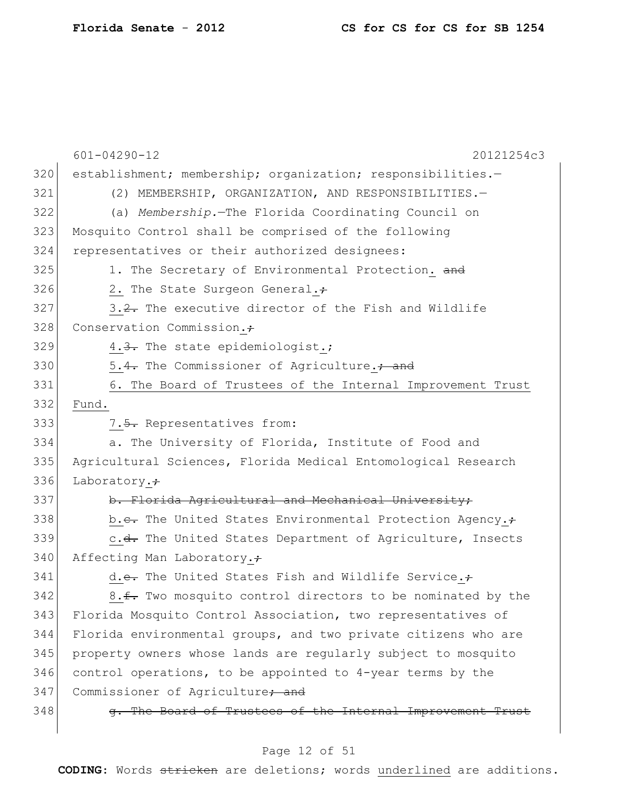|     | $601 - 04290 - 12$<br>20121254c3                                      |
|-----|-----------------------------------------------------------------------|
| 320 | establishment; membership; organization; responsibilities.-           |
| 321 | (2) MEMBERSHIP, ORGANIZATION, AND RESPONSIBILITIES.-                  |
| 322 | (a) Membership. The Florida Coordinating Council on                   |
| 323 | Mosquito Control shall be comprised of the following                  |
| 324 | representatives or their authorized designees:                        |
| 325 | 1. The Secretary of Environmental Protection. and                     |
| 326 | 2. The State Surgeon General.+                                        |
| 327 | 3.2. The executive director of the Fish and Wildlife                  |
| 328 | Conservation Commission.+                                             |
| 329 | 4.3. The state epidemiologist.;                                       |
| 330 | 5.4. The Commissioner of Agriculture.; and                            |
| 331 | 6. The Board of Trustees of the Internal Improvement Trust            |
| 332 | Fund.                                                                 |
| 333 | 7.5. Representatives from:                                            |
| 334 | a. The University of Florida, Institute of Food and                   |
| 335 | Agricultural Sciences, Florida Medical Entomological Research         |
| 336 | Laboratory. $\div$                                                    |
| 337 | b. Florida Agricultural and Mechanical University;                    |
| 338 | b.e. The United States Environmental Protection Agency.+              |
| 339 | c. <del>d.</del> The United States Department of Agriculture, Insects |
| 340 | Affecting Man Laboratory.+                                            |
| 341 | d.e. The United States Fish and Wildlife Service.+                    |
| 342 | 8.f. Two mosquito control directors to be nominated by the            |
| 343 | Florida Mosquito Control Association, two representatives of          |
| 344 | Florida environmental groups, and two private citizens who are        |
| 345 | property owners whose lands are regularly subject to mosquito         |
| 346 | control operations, to be appointed to 4-year terms by the            |
| 347 | Commissioner of Agriculture; and                                      |
| 348 | g. The Board of Trustees of the Internal Improvement Trust            |
|     |                                                                       |

# Page 12 of 51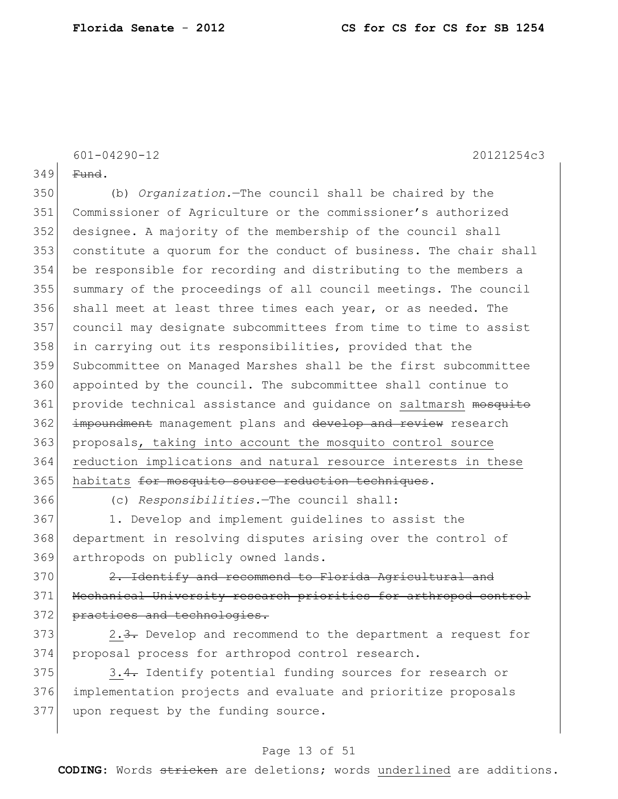601-04290-12 20121254c3

 $349$  Fund.

 (b) *Organization.*—The council shall be chaired by the Commissioner of Agriculture or the commissioner's authorized designee. A majority of the membership of the council shall constitute a quorum for the conduct of business. The chair shall be responsible for recording and distributing to the members a summary of the proceedings of all council meetings. The council 356 shall meet at least three times each year, or as needed. The council may designate subcommittees from time to time to assist 358 in carrying out its responsibilities, provided that the Subcommittee on Managed Marshes shall be the first subcommittee 360 appointed by the council. The subcommittee shall continue to 361 provide technical assistance and quidance on saltmarsh mosquito 362 impoundment management plans and develop and review research proposals, taking into account the mosquito control source reduction implications and natural resource interests in these 365 habitats for mosquito source reduction techniques.

366 (c) *Responsibilities.*—The council shall:

367 1. Develop and implement guidelines to assist the 368 department in resolving disputes arising over the control of 369 arthropods on publicly owned lands.

 $370$  2. Identify and recommend to Florida Agricultural and 371 Mechanical University research priorities for arthropod control 372 practices and technologies.

373 2.3. Develop and recommend to the department a request for 374 proposal process for arthropod control research.

375 3.4. Identify potential funding sources for research or 376 implementation projects and evaluate and prioritize proposals 377 upon request by the funding source.

### Page 13 of 51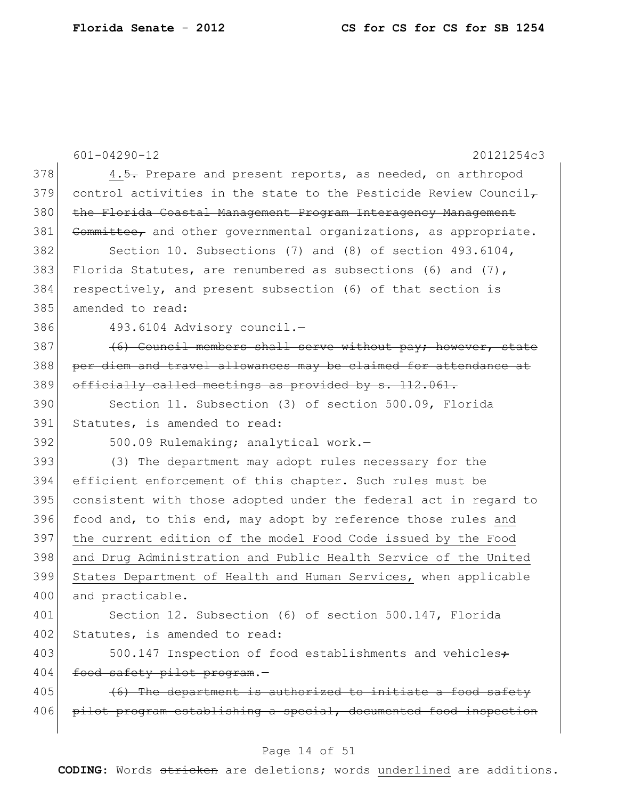601-04290-12 20121254c3 378 4.5. Prepare and present reports, as needed, on arthropod 379 control activities in the state to the Pesticide Review Council $_{\mathcal{T}}$ 380 the Florida Coastal Management Program Interagency Management 381 Committee, and other governmental organizations, as appropriate. 382 Section 10. Subsections (7) and (8) of section 493.6104, 383 Florida Statutes, are renumbered as subsections (6) and  $(7)$ , 384 respectively, and present subsection (6) of that section is 385 amended to read: 386 493.6104 Advisory council.—  $387$  (6) Council members shall serve without pay; however, state 388 per diem and travel allowances may be claimed for attendance at 389 officially called meetings as provided by s. 112.061. 390 Section 11. Subsection (3) of section 500.09, Florida 391 Statutes, is amended to read: 392 500.09 Rulemaking; analytical work.-393 (3) The department may adopt rules necessary for the 394 efficient enforcement of this chapter. Such rules must be 395 consistent with those adopted under the federal act in regard to 396 food and, to this end, may adopt by reference those rules and 397 the current edition of the model Food Code issued by the Food 398 and Drug Administration and Public Health Service of the United 399 States Department of Health and Human Services, when applicable 400 and practicable. 401 Section 12. Subsection (6) of section 500.147, Florida 402 Statutes, is amended to read: 403 500.147 Inspection of food establishments and vehicles. 404 food safety pilot program.- $405$  (6) The department is authorized to initiate a food safety 406 pilot program establishing a special, documented food inspection

#### Page 14 of 51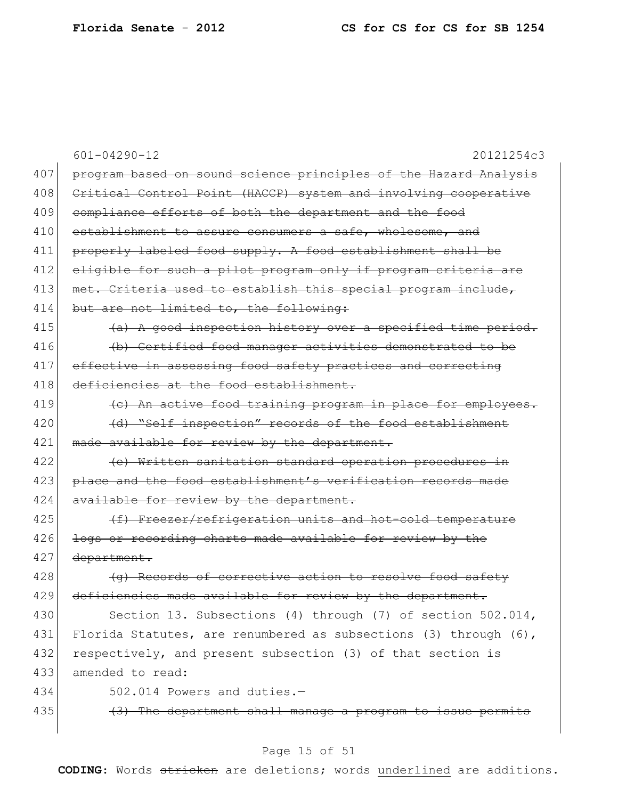|     | $601 - 04290 - 12$<br>20121254c3                                    |
|-----|---------------------------------------------------------------------|
| 407 | program based on sound science principles of the Hazard Analysis    |
| 408 | Critical Control Point (HACCP) system and involving cooperative     |
| 409 | compliance efforts of both the department and the food              |
| 410 | establishment to assure consumers a safe, wholesome, and            |
| 411 | properly labeled food supply. A food establishment shall be         |
| 412 | eligible for such a pilot program only if program criteria are      |
| 413 | met. Criteria used to establish this special program include,       |
| 414 | but are not limited to, the following:                              |
| 415 | (a) A good inspection history over a specified time period.         |
| 416 | (b) Certified food manager activities demonstrated to be            |
| 417 | effective in assessing food safety practices and correcting         |
| 418 | deficiencies at the food establishment.                             |
| 419 | (c) An active food training program in place for employees.         |
| 420 | (d) "Self inspection" records of the food establishment             |
| 421 | made available for review by the department.                        |
| 422 | (e) Written sanitation standard operation procedures in             |
| 423 | place and the food establishment's verification records made        |
| 424 | available for review by the department.                             |
| 425 | (f) Freezer/refrigeration units and hot-cold temperature            |
| 426 | logs or recording charts made available for review by the           |
| 427 | department.                                                         |
| 428 | (q) Records of corrective action to resolve food safety             |
| 429 | deficiencies made available for review by the department.           |
| 430 | Section 13. Subsections (4) through (7) of section 502.014,         |
| 431 | Florida Statutes, are renumbered as subsections (3) through $(6)$ , |
| 432 | respectively, and present subsection (3) of that section is         |
| 433 | amended to read:                                                    |
| 434 | 502.014 Powers and duties.-                                         |
| 435 | (3) The department shall manage a program to issue permits          |
|     |                                                                     |

# Page 15 of 51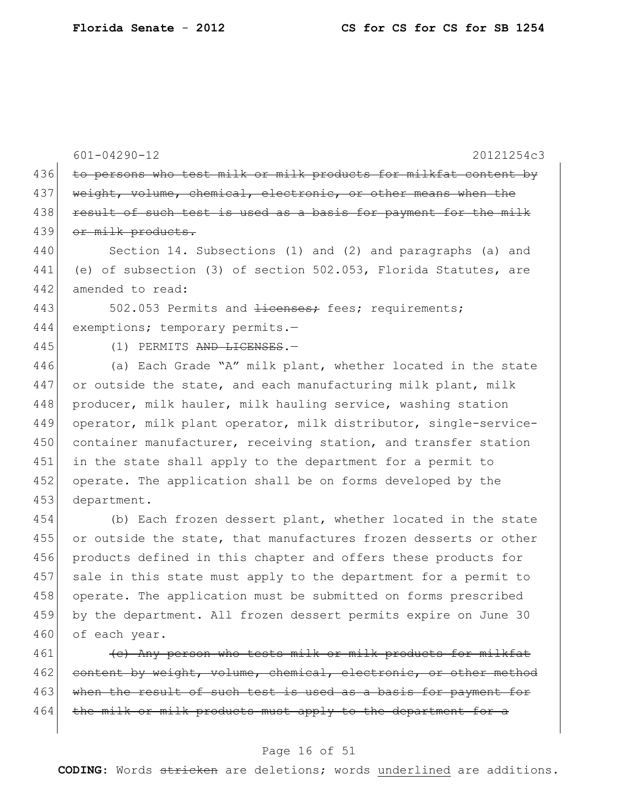601-04290-12 20121254c3 436 to persons who test milk or milk products for milkfat content by 437 weight, volume, chemical, electronic, or other means when the 438 result of such test is used as a basis for payment for the milk 439 or milk products. 440 Section 14. Subsections (1) and (2) and paragraphs (a) and 441 (e) of subsection (3) of section 502.053, Florida Statutes, are 442 amended to read: 443 502.053 Permits and <del>licenses;</del> fees; requirements; 444 exemptions; temporary permits.-445 (1) PERMITS AND LICENSES.-446 (a) Each Grade "A" milk plant, whether located in the state 447 or outside the state, and each manufacturing milk plant, milk 448 producer, milk hauler, milk hauling service, washing station 449 operator, milk plant operator, milk distributor, single-service-450 container manufacturer, receiving station, and transfer station 451 in the state shall apply to the department for a permit to 452 operate. The application shall be on forms developed by the 453 department. 454 (b) Each frozen dessert plant, whether located in the state 455 or outside the state, that manufactures frozen desserts or other 456 products defined in this chapter and offers these products for 457 sale in this state must apply to the department for a permit to 458 operate. The application must be submitted on forms prescribed 459 by the department. All frozen dessert permits expire on June 30 460 of each year.  $461$  (c) Any person who tests milk or milk products for milkfat

462 content by weight, volume, chemical, electronic, or other method 463 when the result of such test is used as a basis for payment for  $464$  the milk or milk products must apply to the department for a

### Page 16 of 51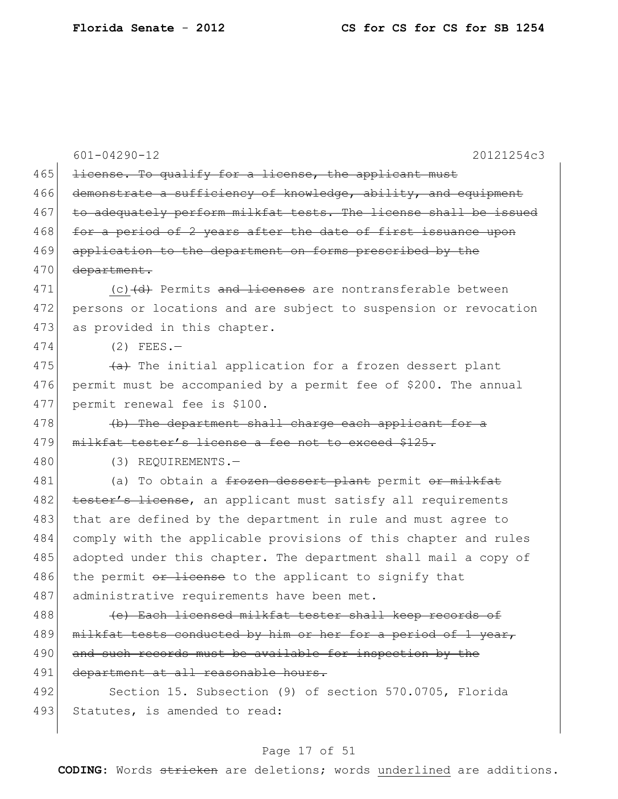|     | $601 - 04290 - 12$<br>20121254c3                                             |
|-----|------------------------------------------------------------------------------|
| 465 | license. To qualify for a license, the applicant must                        |
| 466 | demonstrate a sufficiency of knowledge, ability, and equipment               |
| 467 | to adequately perform milkfat tests. The license shall be issued             |
| 468 | for a period of 2 years after the date of first issuance upon                |
| 469 | application to the department on forms prescribed by the                     |
| 470 | department.                                                                  |
| 471 | (c) (d) Permits and licenses are nontransferable between                     |
| 472 | persons or locations and are subject to suspension or revocation             |
| 473 | as provided in this chapter.                                                 |
| 474 | $(2)$ FEES.-                                                                 |
| 475 | (a) The initial application for a frozen dessert plant                       |
| 476 | permit must be accompanied by a permit fee of \$200. The annual              |
| 477 | permit renewal fee is \$100.                                                 |
| 478 | (b) The department shall charge each applicant for a                         |
| 479 | milkfat tester's license a fee not to exceed \$125.                          |
| 480 | (3) REQUIREMENTS.-                                                           |
| 481 | (a) To obtain a <del>frozen dessert plant</del> permit <del>or milkfat</del> |
| 482 | tester's license, an applicant must satisfy all requirements                 |
| 483 | that are defined by the department in rule and must agree to                 |
| 484 | comply with the applicable provisions of this chapter and rules              |
| 485 | adopted under this chapter. The department shall mail a copy of              |
| 486 | the permit or license to the applicant to signify that                       |
| 487 | administrative requirements have been met.                                   |
| 488 | (e) Each licensed milkfat tester shall keep records of                       |
| 489 | milkfat tests conducted by him or her for a period of 1 year,                |
| 490 | and such records must be available for inspection by the                     |
| 491 | department at all reasonable hours.                                          |
| 492 | Section 15. Subsection (9) of section 570.0705, Florida                      |
| 493 | Statutes, is amended to read:                                                |
|     |                                                                              |

# Page 17 of 51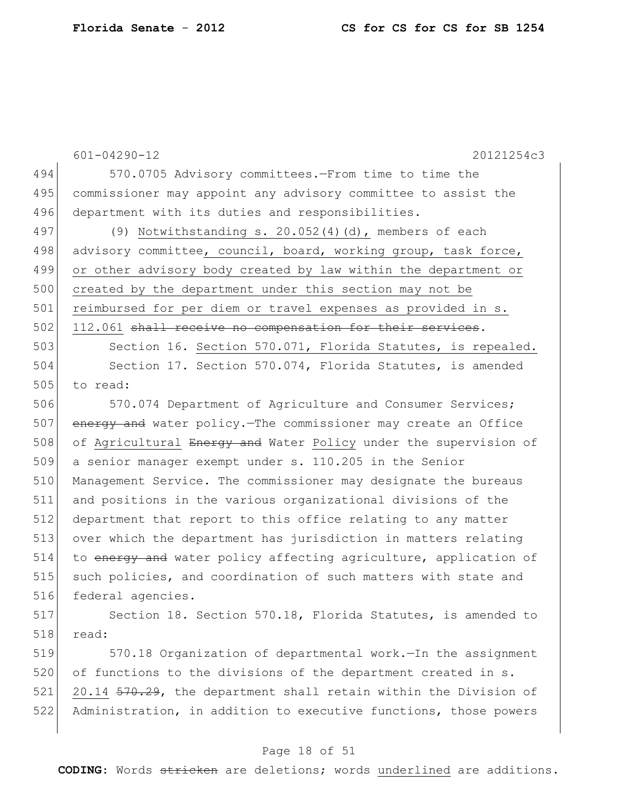|     | $601 - 04290 - 12$<br>20121254c3                                                               |
|-----|------------------------------------------------------------------------------------------------|
| 494 | 570.0705 Advisory committees.-From time to time the                                            |
| 495 | commissioner may appoint any advisory committee to assist the                                  |
| 496 | department with its duties and responsibilities.                                               |
| 497 | (9) Notwithstanding s. $20.052(4)(d)$ , members of each                                        |
| 498 | advisory committee, council, board, working group, task force,                                 |
| 499 | or other advisory body created by law within the department or                                 |
| 500 | created by the department under this section may not be                                        |
| 501 | reimbursed for per diem or travel expenses as provided in s.                                   |
| 502 | 112.061 shall receive no compensation for their services.                                      |
| 503 | Section 16. Section 570.071, Florida Statutes, is repealed.                                    |
| 504 | Section 17. Section 570.074, Florida Statutes, is amended                                      |
| 505 | to read:                                                                                       |
| 506 | 570.074 Department of Agriculture and Consumer Services;                                       |
| 507 | energy and water policy. The commissioner may create an Office                                 |
| 508 | of Agricultural Energy and Water Policy under the supervision of                               |
| 509 | a senior manager exempt under s. 110.205 in the Senior                                         |
| 510 | Management Service. The commissioner may designate the bureaus                                 |
| 511 | and positions in the various organizational divisions of the                                   |
| 512 | department that report to this office relating to any matter                                   |
| 513 | over which the department has jurisdiction in matters relating                                 |
| 514 | to energy and water policy affecting agriculture, application of                               |
| 515 | such policies, and coordination of such matters with state and                                 |
| 516 | federal agencies.                                                                              |
| E17 | $0$ costing $10$ $0$ costing $570$ $10$ $\text{F1}$ cride $0+$ the $10$ $\text{F2}$ created to |

517 Section 18. Section 570.18, Florida Statutes, is amended to 518 read:

519 570.18 Organization of departmental work.—In the assignment 520 of functions to the divisions of the department created in s. 521 20.14 570.29, the department shall retain within the Division of 522 Administration, in addition to executive functions, those powers

## Page 18 of 51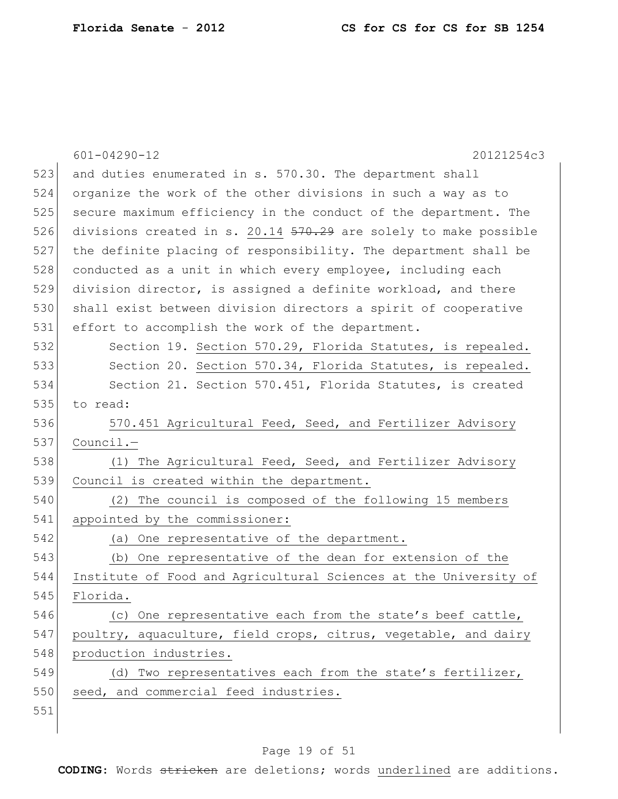|     | $601 - 04290 - 12$<br>20121254c3                                 |
|-----|------------------------------------------------------------------|
| 523 | and duties enumerated in s. 570.30. The department shall         |
| 524 | organize the work of the other divisions in such a way as to     |
| 525 | secure maximum efficiency in the conduct of the department. The  |
| 526 | divisions created in s. 20.14 570.29 are solely to make possible |
| 527 | the definite placing of responsibility. The department shall be  |
| 528 | conducted as a unit in which every employee, including each      |
| 529 | division director, is assigned a definite workload, and there    |
| 530 | shall exist between division directors a spirit of cooperative   |
| 531 | effort to accomplish the work of the department.                 |
| 532 | Section 19. Section 570.29, Florida Statutes, is repealed.       |
| 533 | Section 20. Section 570.34, Florida Statutes, is repealed.       |
| 534 | Section 21. Section 570.451, Florida Statutes, is created        |
| 535 | to read:                                                         |
| 536 | 570.451 Agricultural Feed, Seed, and Fertilizer Advisory         |
| 537 | Council.-                                                        |
| 538 | (1) The Agricultural Feed, Seed, and Fertilizer Advisory         |
| 539 | Council is created within the department.                        |
| 540 | (2) The council is composed of the following 15 members          |
| 541 | appointed by the commissioner:                                   |
| 542 | (a) One representative of the department.                        |
| 543 | (b) One representative of the dean for extension of the          |
| 544 | Institute of Food and Agricultural Sciences at the University of |
| 545 | Florida.                                                         |
| 546 | (c) One representative each from the state's beef cattle,        |
| 547 | poultry, aquaculture, field crops, citrus, vegetable, and dairy  |
| 548 | production industries.                                           |
| 549 | (d) Two representatives each from the state's fertilizer,        |
| 550 | seed, and commercial feed industries.                            |
| 551 |                                                                  |
|     |                                                                  |

# Page 19 of 51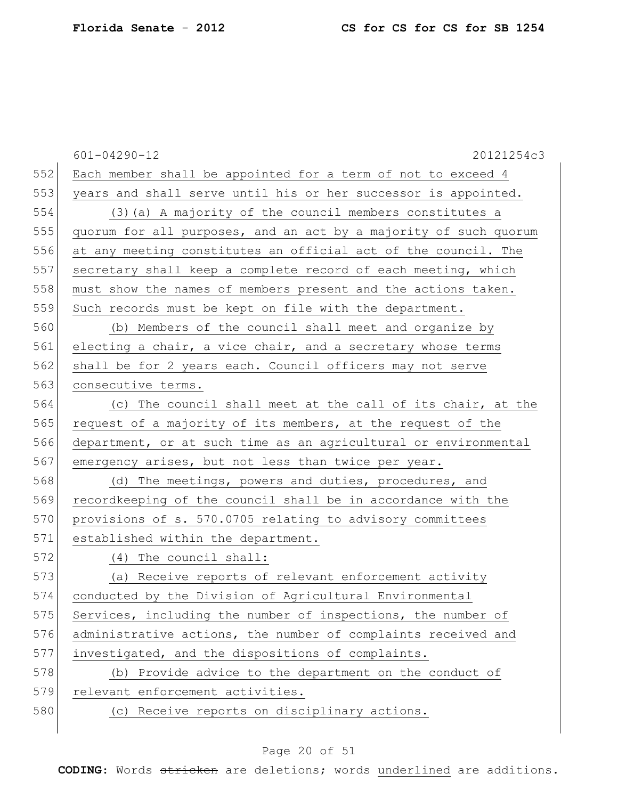|     | $601 - 04290 - 12$<br>20121254c3                                 |
|-----|------------------------------------------------------------------|
| 552 | Each member shall be appointed for a term of not to exceed 4     |
| 553 | years and shall serve until his or her successor is appointed.   |
| 554 | (3) (a) A majority of the council members constitutes a          |
| 555 | quorum for all purposes, and an act by a majority of such quorum |
| 556 | at any meeting constitutes an official act of the council. The   |
| 557 | secretary shall keep a complete record of each meeting, which    |
| 558 | must show the names of members present and the actions taken.    |
| 559 | Such records must be kept on file with the department.           |
| 560 | (b) Members of the council shall meet and organize by            |
| 561 | electing a chair, a vice chair, and a secretary whose terms      |
| 562 | shall be for 2 years each. Council officers may not serve        |
| 563 | consecutive terms.                                               |
| 564 | (c) The council shall meet at the call of its chair, at the      |
| 565 | request of a majority of its members, at the request of the      |
| 566 | department, or at such time as an agricultural or environmental  |
| 567 | emergency arises, but not less than twice per year.              |
| 568 | (d) The meetings, powers and duties, procedures, and             |
| 569 | recordkeeping of the council shall be in accordance with the     |
| 570 | provisions of s. 570.0705 relating to advisory committees        |
| 571 | established within the department.                               |
| 572 | (4) The council shall:                                           |
| 573 | (a) Receive reports of relevant enforcement activity             |
| 574 | conducted by the Division of Agricultural Environmental          |
| 575 | Services, including the number of inspections, the number of     |
| 576 | administrative actions, the number of complaints received and    |
| 577 | investigated, and the dispositions of complaints.                |
| 578 | (b) Provide advice to the department on the conduct of           |
| 579 | relevant enforcement activities.                                 |
| 580 | (c) Receive reports on disciplinary actions.                     |
|     |                                                                  |

# Page 20 of 51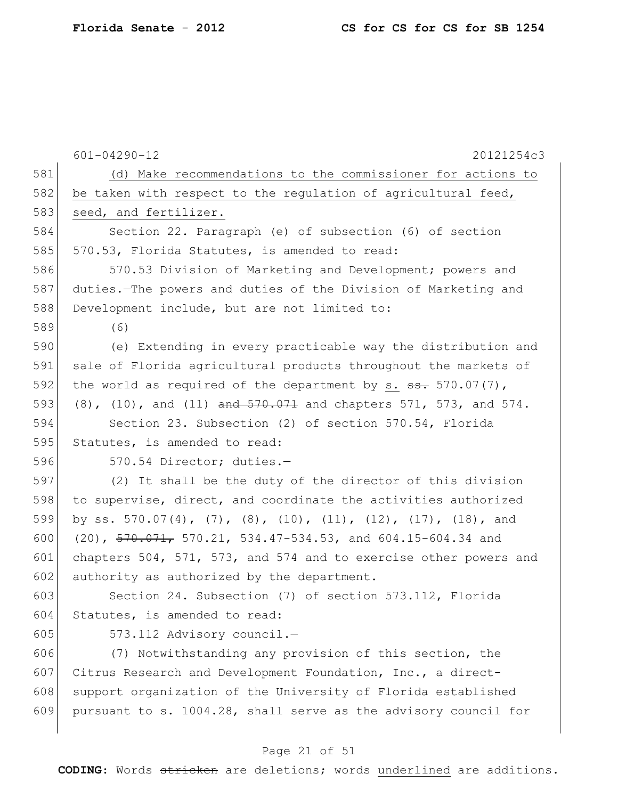|     | $601 - 04290 - 12$<br>20121254c3                                            |
|-----|-----------------------------------------------------------------------------|
| 581 | (d) Make recommendations to the commissioner for actions to                 |
| 582 | be taken with respect to the regulation of agricultural feed,               |
| 583 | seed, and fertilizer.                                                       |
| 584 | Section 22. Paragraph (e) of subsection (6) of section                      |
| 585 | 570.53, Florida Statutes, is amended to read:                               |
| 586 | 570.53 Division of Marketing and Development; powers and                    |
| 587 | duties. The powers and duties of the Division of Marketing and              |
| 588 | Development include, but are not limited to:                                |
| 589 | (6)                                                                         |
| 590 | (e) Extending in every practicable way the distribution and                 |
| 591 | sale of Florida agricultural products throughout the markets of             |
| 592 | the world as required of the department by s. $\frac{1}{2}$ 570.07(7),      |
| 593 | $(8)$ , $(10)$ , and $(11)$ and $570.071$ and chapters 571, 573, and 574.   |
| 594 | Section 23. Subsection (2) of section 570.54, Florida                       |
| 595 | Statutes, is amended to read:                                               |
| 596 | 570.54 Director; duties.-                                                   |
| 597 | (2) It shall be the duty of the director of this division                   |
| 598 | to supervise, direct, and coordinate the activities authorized              |
| 599 | by ss. 570.07(4), (7), (8), (10), (11), (12), (17), (18), and               |
| 600 | $(20)$ , $\frac{570.071}{2}$ , 570.21, 534.47-534.53, and 604.15-604.34 and |
| 601 | chapters 504, 571, 573, and 574 and to exercise other powers and            |
| 602 | authority as authorized by the department.                                  |
| 603 | Section 24. Subsection (7) of section 573.112, Florida                      |
| 604 | Statutes, is amended to read:                                               |
| 605 | 573.112 Advisory council.-                                                  |
| 606 | (7) Notwithstanding any provision of this section, the                      |
| 607 | Citrus Research and Development Foundation, Inc., a direct-                 |
| 608 | support organization of the University of Florida established               |
| 609 | pursuant to s. 1004.28, shall serve as the advisory council for             |
|     |                                                                             |

# Page 21 of 51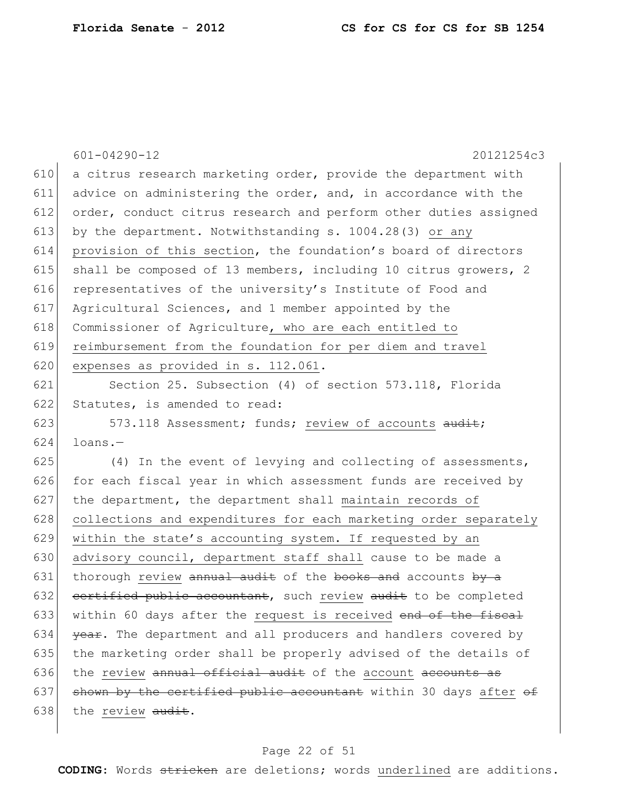|     | $601 - 04290 - 12$<br>20121254c3                                 |  |  |  |  |
|-----|------------------------------------------------------------------|--|--|--|--|
| 610 | a citrus research marketing order, provide the department with   |  |  |  |  |
| 611 | advice on administering the order, and, in accordance with the   |  |  |  |  |
| 612 | order, conduct citrus research and perform other duties assigned |  |  |  |  |
| 613 | by the department. Notwithstanding s. 1004.28(3) or any          |  |  |  |  |
| 614 | provision of this section, the foundation's board of directors   |  |  |  |  |
| 615 | shall be composed of 13 members, including 10 citrus growers, 2  |  |  |  |  |
| 616 | representatives of the university's Institute of Food and        |  |  |  |  |
| 617 | Agricultural Sciences, and 1 member appointed by the             |  |  |  |  |
| 618 | Commissioner of Agriculture, who are each entitled to            |  |  |  |  |
| 619 | reimbursement from the foundation for per diem and travel        |  |  |  |  |
| 620 | expenses as provided in s. 112.061.                              |  |  |  |  |
| 621 | Section 25. Subsection (4) of section 573.118, Florida           |  |  |  |  |
| 622 | Statutes, is amended to read:                                    |  |  |  |  |
| 623 | 573.118 Assessment; funds; review of accounts audit;             |  |  |  |  |
| 624 | $l$ oans. $-$                                                    |  |  |  |  |
| 625 | $(4)$ In the event of levying and collecting of assessments,     |  |  |  |  |
| 626 | for each fiscal year in which assessment funds are received by   |  |  |  |  |
| 627 | the department, the department shall maintain records of         |  |  |  |  |
| 628 | collections and expenditures for each marketing order separately |  |  |  |  |
| 629 | within the state's accounting system. If requested by an         |  |  |  |  |
| 630 | advisory council, department staff shall cause to be made a      |  |  |  |  |
| 631 | thorough review annual audit of the books and accounts by a      |  |  |  |  |
| 632 | certified public accountant, such review audit to be completed   |  |  |  |  |
| 633 | within 60 days after the request is received end of the fiscal   |  |  |  |  |
| 634 | year. The department and all producers and handlers covered by   |  |  |  |  |
| 635 | the marketing order shall be properly advised of the details of  |  |  |  |  |
| 636 | the review annual official audit of the account accounts as      |  |  |  |  |
| 637 | shown by the certified public accountant within 30 days after of |  |  |  |  |
| 638 | the review audit.                                                |  |  |  |  |
|     |                                                                  |  |  |  |  |

# Page 22 of 51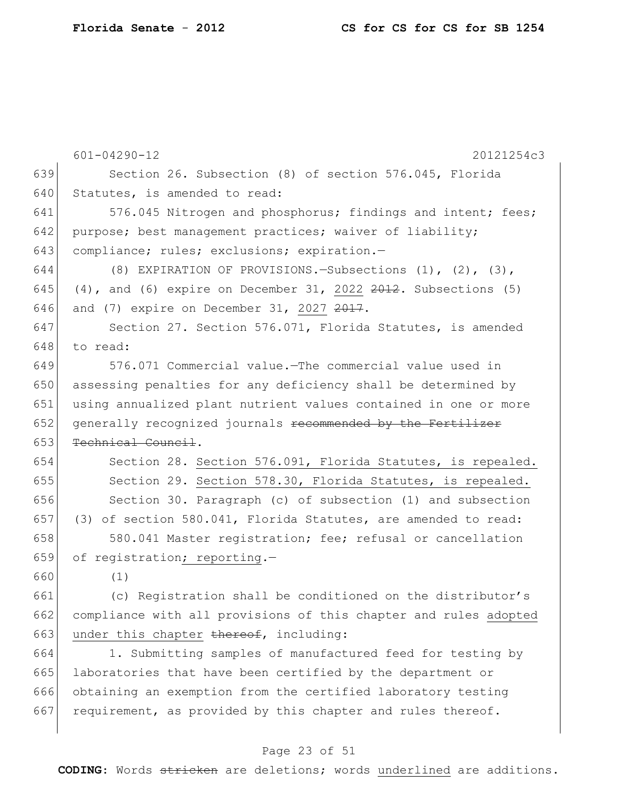|     | $601 - 04290 - 12$<br>20121254c3                                         |  |  |  |  |
|-----|--------------------------------------------------------------------------|--|--|--|--|
| 639 | Section 26. Subsection (8) of section 576.045, Florida                   |  |  |  |  |
| 640 | Statutes, is amended to read:                                            |  |  |  |  |
| 641 | 576.045 Nitrogen and phosphorus; findings and intent; fees;              |  |  |  |  |
| 642 |                                                                          |  |  |  |  |
| 643 | purpose; best management practices; waiver of liability;                 |  |  |  |  |
|     | compliance; rules; exclusions; expiration.-                              |  |  |  |  |
| 644 | (8) EXPIRATION OF PROVISIONS. - Subsections (1), (2), (3),               |  |  |  |  |
| 645 | $(4)$ , and $(6)$ expire on December 31, 2022 $2012$ . Subsections $(5)$ |  |  |  |  |
| 646 | and (7) expire on December 31, 2027 2017.                                |  |  |  |  |
| 647 | Section 27. Section 576.071, Florida Statutes, is amended                |  |  |  |  |
| 648 | to read:                                                                 |  |  |  |  |
| 649 | 576.071 Commercial value. The commercial value used in                   |  |  |  |  |
| 650 | assessing penalties for any deficiency shall be determined by            |  |  |  |  |
| 651 | using annualized plant nutrient values contained in one or more          |  |  |  |  |
| 652 | generally recognized journals recommended by the Fertilizer              |  |  |  |  |
| 653 | Technical Council.                                                       |  |  |  |  |
| 654 | Section 28. Section 576.091, Florida Statutes, is repealed.              |  |  |  |  |
| 655 | Section 29. Section 578.30, Florida Statutes, is repealed.               |  |  |  |  |
| 656 | Section 30. Paragraph (c) of subsection (1) and subsection               |  |  |  |  |
| 657 | (3) of section 580.041, Florida Statutes, are amended to read:           |  |  |  |  |
| 658 | 580.041 Master registration; fee; refusal or cancellation                |  |  |  |  |
| 659 | of registration; reporting.-                                             |  |  |  |  |
| 660 | (1)                                                                      |  |  |  |  |
| 661 | (c) Registration shall be conditioned on the distributor's               |  |  |  |  |
| 662 | compliance with all provisions of this chapter and rules adopted         |  |  |  |  |
| 663 | under this chapter thereof, including:                                   |  |  |  |  |
| 664 | 1. Submitting samples of manufactured feed for testing by                |  |  |  |  |
| 665 | laboratories that have been certified by the department or               |  |  |  |  |
| 666 | obtaining an exemption from the certified laboratory testing             |  |  |  |  |
| 667 | requirement, as provided by this chapter and rules thereof.              |  |  |  |  |
|     |                                                                          |  |  |  |  |

# Page 23 of 51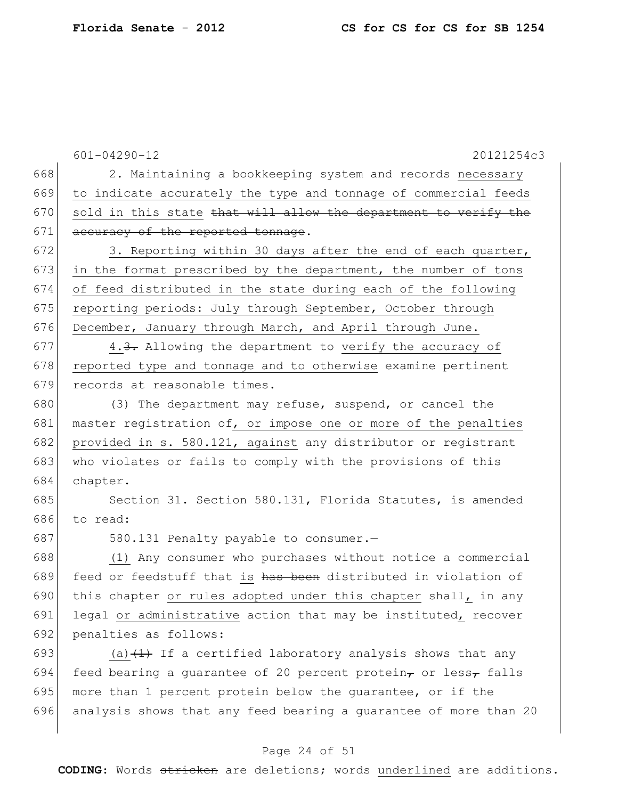|     | $601 - 04290 - 12$<br>20121254c3                                                 |
|-----|----------------------------------------------------------------------------------|
| 668 | 2. Maintaining a bookkeeping system and records necessary                        |
| 669 | to indicate accurately the type and tonnage of commercial feeds                  |
| 670 | sold in this state that will allow the department to verify the                  |
| 671 | accuracy of the reported tonnage.                                                |
| 672 | 3. Reporting within 30 days after the end of each quarter,                       |
| 673 | in the format prescribed by the department, the number of tons                   |
| 674 | of feed distributed in the state during each of the following                    |
| 675 | reporting periods: July through September, October through                       |
| 676 | December, January through March, and April through June.                         |
| 677 | 4.3. Allowing the department to verify the accuracy of                           |
| 678 | reported type and tonnage and to otherwise examine pertinent                     |
| 679 | records at reasonable times.                                                     |
| 680 | (3) The department may refuse, suspend, or cancel the                            |
| 681 | master registration of, or impose one or more of the penalties                   |
| 682 | provided in s. 580.121, against any distributor or registrant                    |
| 683 | who violates or fails to comply with the provisions of this                      |
| 684 | chapter.                                                                         |
| 685 | Section 31. Section 580.131, Florida Statutes, is amended                        |
| 686 | to read:                                                                         |
| 687 | 580.131 Penalty payable to consumer.-                                            |
| 688 | (1) Any consumer who purchases without notice a commercial                       |
| 689 | feed or feedstuff that is has been distributed in violation of                   |
| 690 | this chapter or rules adopted under this chapter shall, in any                   |
| 691 | legal or administrative action that may be instituted, recover                   |
| 692 | penalties as follows:                                                            |
| 693 | (a) $\left(\frac{1}{1}\right)$ If a certified laboratory analysis shows that any |
| 694 | feed bearing a guarantee of 20 percent protein, or less, falls                   |
| 695 | more than 1 percent protein below the quarantee, or if the                       |
| 696 | analysis shows that any feed bearing a guarantee of more than 20                 |

# Page 24 of 51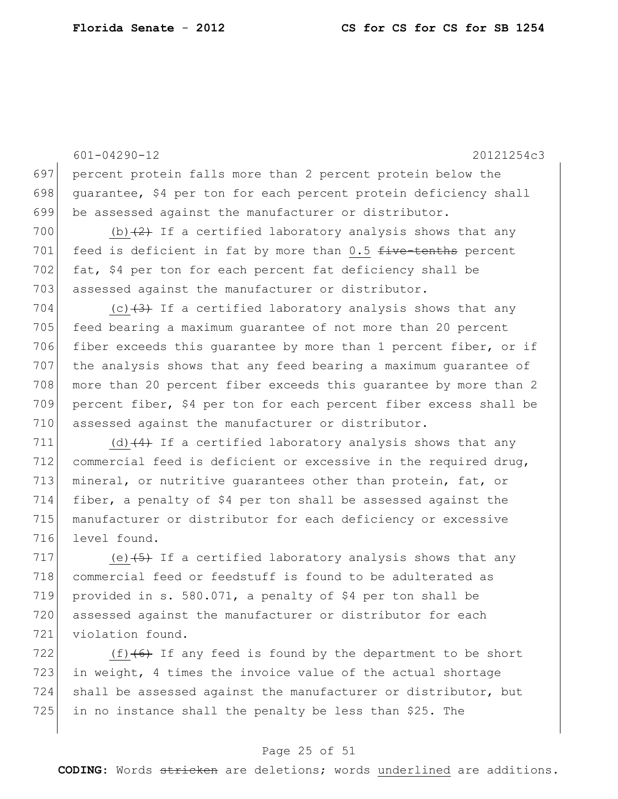601-04290-12 20121254c3 697 percent protein falls more than 2 percent protein below the 698 guarantee, \$4 per ton for each percent protein deficiency shall 699 be assessed against the manufacturer or distributor. 700 (b) $(2)$  If a certified laboratory analysis shows that any 701 feed is deficient in fat by more than  $0.5$  five-tenths percent 702 fat, \$4 per ton for each percent fat deficiency shall be 703 assessed against the manufacturer or distributor. 704 (c) $(3)$  If a certified laboratory analysis shows that any 705 feed bearing a maximum guarantee of not more than 20 percent 706 fiber exceeds this quarantee by more than 1 percent fiber, or if 707 the analysis shows that any feed bearing a maximum guarantee of 708 more than 20 percent fiber exceeds this guarantee by more than 2 709 percent fiber, \$4 per ton for each percent fiber excess shall be 710 assessed against the manufacturer or distributor. 711 (d)  $(4)$  If a certified laboratory analysis shows that any 712 commercial feed is deficient or excessive in the required drug, 713 mineral, or nutritive guarantees other than protein, fat, or 714 fiber, a penalty of \$4 per ton shall be assessed against the 715 manufacturer or distributor for each deficiency or excessive 716 level found. 717 (e)  $\left(6\right)$  If a certified laboratory analysis shows that any 718 commercial feed or feedstuff is found to be adulterated as 719 provided in s. 580.071, a penalty of \$4 per ton shall be 720 assessed against the manufacturer or distributor for each 721 violation found. 722  $(f)$  (f)  $(6)$  If any feed is found by the department to be short 723 in weight, 4 times the invoice value of the actual shortage 724 shall be assessed against the manufacturer or distributor, but

## $725$  in no instance shall the penalty be less than \$25. The

## Page 25 of 51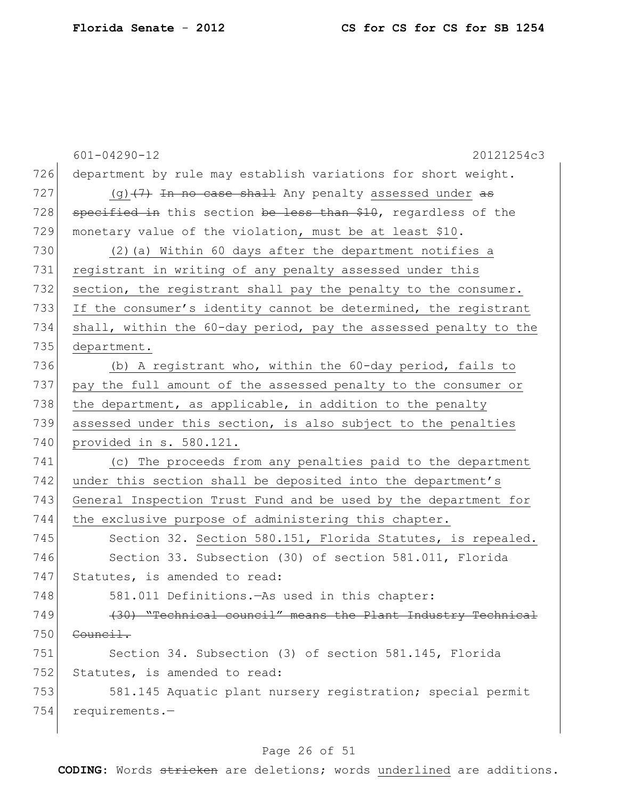|     | $601 - 04290 - 12$<br>20121254c3                                 |
|-----|------------------------------------------------------------------|
| 726 | department by rule may establish variations for short weight.    |
| 727 | $(g)$ $(7)$ In no case shall Any penalty assessed under as       |
| 728 | specified in this section be less than \$10, regardless of the   |
| 729 | monetary value of the violation, must be at least \$10.          |
| 730 | (2) (a) Within 60 days after the department notifies a           |
| 731 | registrant in writing of any penalty assessed under this         |
| 732 | section, the registrant shall pay the penalty to the consumer.   |
| 733 | If the consumer's identity cannot be determined, the registrant  |
| 734 | shall, within the 60-day period, pay the assessed penalty to the |
| 735 | department.                                                      |
| 736 | (b) A registrant who, within the 60-day period, fails to         |
| 737 | pay the full amount of the assessed penalty to the consumer or   |
| 738 | the department, as applicable, in addition to the penalty        |
| 739 | assessed under this section, is also subject to the penalties    |
| 740 | provided in s. 580.121.                                          |
| 741 | (c) The proceeds from any penalties paid to the department       |
| 742 | under this section shall be deposited into the department's      |
| 743 | General Inspection Trust Fund and be used by the department for  |
| 744 | the exclusive purpose of administering this chapter.             |
| 745 | Section 32. Section 580.151, Florida Statutes, is repealed.      |
| 746 | Section 33. Subsection (30) of section 581.011, Florida          |
| 747 | Statutes, is amended to read:                                    |
| 748 | 581.011 Definitions. - As used in this chapter:                  |
| 749 | (30) "Technical council" means the Plant Industry Technical      |
| 750 | Council.                                                         |
| 751 | Section 34. Subsection (3) of section 581.145, Florida           |
| 752 | Statutes, is amended to read:                                    |
| 753 | 581.145 Aquatic plant nursery registration; special permit       |
| 754 | requirements.-                                                   |
|     |                                                                  |

# Page 26 of 51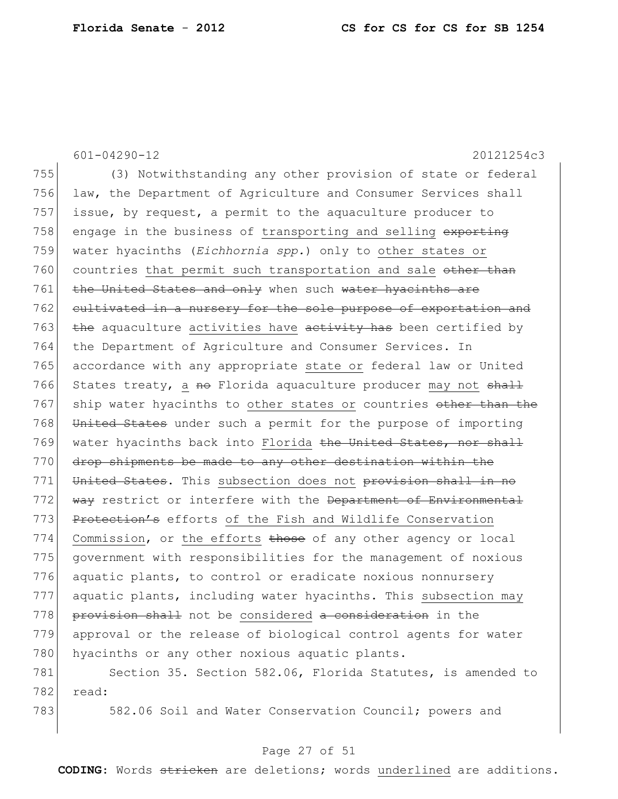601-04290-12 20121254c3 755 (3) Notwithstanding any other provision of state or federal 756 law, the Department of Agriculture and Consumer Services shall 757 issue, by request, a permit to the aquaculture producer to 758 engage in the business of transporting and selling exporting 759 water hyacinths (*Eichhornia spp.*) only to other states or 760 countries that permit such transportation and sale other than 761 the United States and only when such water hyacinths are 762 cultivated in a nursery for the sole purpose of exportation and 763 the aquaculture activities have activity has been certified by 764 the Department of Agriculture and Consumer Services. In 765 accordance with any appropriate state or federal law or United 766 States treaty, a no Florida aquaculture producer may not shall 767 ship water hyacinths to other states or countries other than the 768 United States under such a permit for the purpose of importing 769 water hyacinths back into Florida <del>the United States, nor shall</del> 770 drop shipments be made to any other destination within the 771 United States. This subsection does not provision shall in no 772 way restrict or interfere with the Department of Environmental 773 Protection's efforts of the Fish and Wildlife Conservation 774 Commission, or the efforts those of any other agency or local 775 government with responsibilities for the management of noxious 776 aquatic plants, to control or eradicate noxious nonnursery 777 aquatic plants, including water hyacinths. This subsection may 778 **provision shall** not be considered a consideration in the 779 approval or the release of biological control agents for water 780 hyacinths or any other noxious aquatic plants. 781 Section 35. Section 582.06, Florida Statutes, is amended to 782 read:

783 582.06 Soil and Water Conservation Council; powers and

#### Page 27 of 51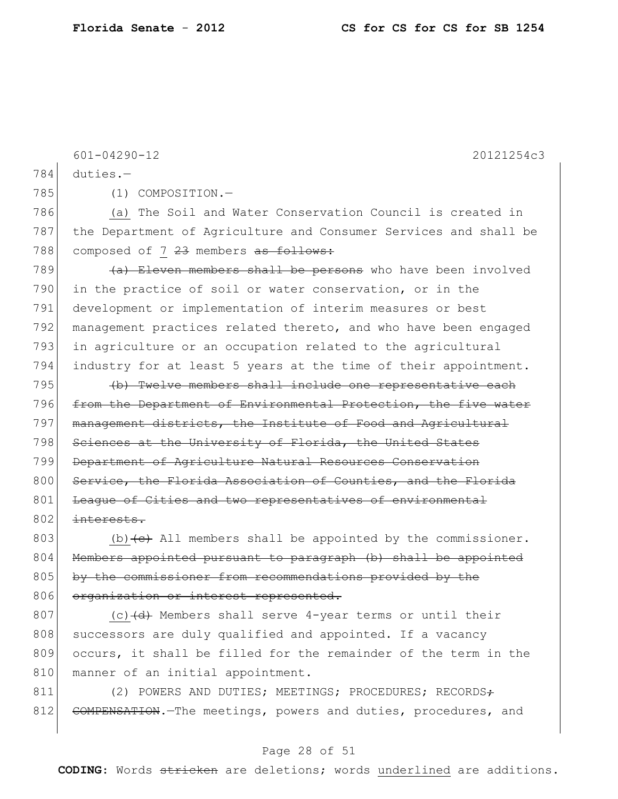601-04290-12 20121254c3 784 duties.— 785 (1) COMPOSITION. 786 (a) The Soil and Water Conservation Council is created in 787 the Department of Agriculture and Consumer Services and shall be 788 composed of 7 23 members as follows: 789  $\left( \text{a} \right)$  Eleven members shall be persons who have been involved 790 in the practice of soil or water conservation, or in the 791 development or implementation of interim measures or best 792 management practices related thereto, and who have been engaged 793 in agriculture or an occupation related to the agricultural 794 industry for at least 5 years at the time of their appointment. 795 (b) Twelve members shall include one representative each 796 from the Department of Environmental Protection, the five water 797 management districts, the Institute of Food and Agricultural 798 Sciences at the University of Florida, the United States 799 Department of Agriculture Natural Resources Conservation 800 Service, the Florida Association of Counties, and the Florida

801 League of Cities and two representatives of environmental  $802$  interests.

803 (b) $\left\{e\right\}$  All members shall be appointed by the commissioner. 804 Members appointed pursuant to paragraph (b) shall be appointed 805 by the commissioner from recommendations provided by the 806 organization or interest represented.

807 (c)  $\left(\frac{d}{dt}\right)$  Members shall serve 4-year terms or until their 808 successors are duly qualified and appointed. If a vacancy 809 occurs, it shall be filled for the remainder of the term in the 810 manner of an initial appointment.

811 (2) POWERS AND DUTIES; MEETINGS; PROCEDURES; RECORDS $\div$ 812 COMPENSATION. The meetings, powers and duties, procedures, and

### Page 28 of 51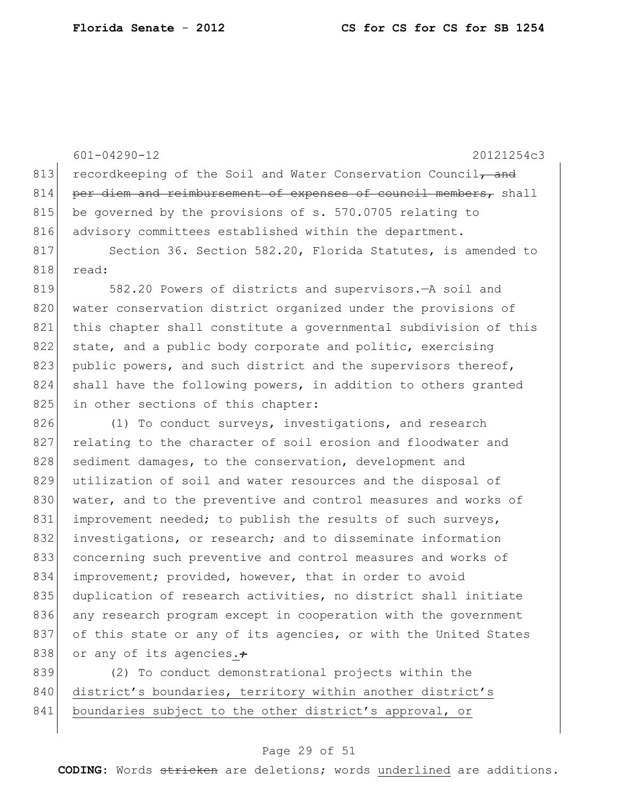601-04290-12 20121254c3 813 recordkeeping of the Soil and Water Conservation Council, and  $814$  per diem and reimbursement of expenses of council members, shall 815 be governed by the provisions of s. 570.0705 relating to 816 advisory committees established within the department. 817 Section 36. Section 582.20, Florida Statutes, is amended to 818 read: 819 582.20 Powers of districts and supervisors.—A soil and 820 water conservation district organized under the provisions of 821 this chapter shall constitute a governmental subdivision of this 822 state, and a public body corporate and politic, exercising 823 public powers, and such district and the supervisors thereof, 824 shall have the following powers, in addition to others granted 825 in other sections of this chapter: 826 (1) To conduct surveys, investigations, and research 827 relating to the character of soil erosion and floodwater and 828 sediment damages, to the conservation, development and 829 utilization of soil and water resources and the disposal of 830 water, and to the preventive and control measures and works of 831 improvement needed; to publish the results of such surveys, 832 investigations, or research; and to disseminate information 833 concerning such preventive and control measures and works of 834 improvement; provided, however, that in order to avoid 835 duplication of research activities, no district shall initiate 836 any research program except in cooperation with the government 837 of this state or any of its agencies, or with the United States

838 or any of its agencies. $\div$ 839 (2) To conduct demonstrational projects within the 840 district's boundaries, territory within another district's 841 boundaries subject to the other district's approval, or

#### Page 29 of 51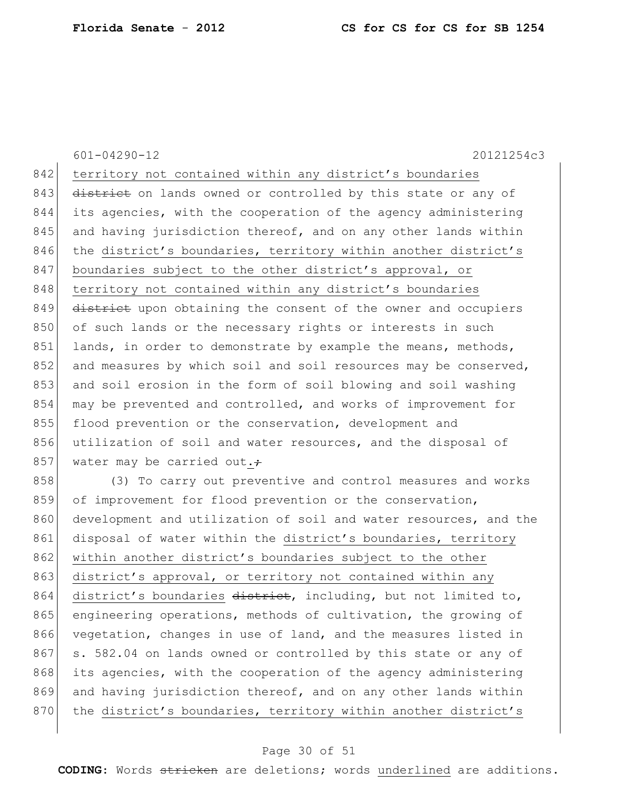601-04290-12 20121254c3 842 territory not contained within any district's boundaries 843 district on lands owned or controlled by this state or any of 844 its agencies, with the cooperation of the agency administering 845 and having jurisdiction thereof, and on any other lands within 846 the district's boundaries, territory within another district's 847 boundaries subject to the other district's approval, or 848 territory not contained within any district's boundaries 849 district upon obtaining the consent of the owner and occupiers 850 of such lands or the necessary rights or interests in such 851 lands, in order to demonstrate by example the means, methods, 852 and measures by which soil and soil resources may be conserved, 853 and soil erosion in the form of soil blowing and soil washing 854 may be prevented and controlled, and works of improvement for 855 flood prevention or the conservation, development and 856 utilization of soil and water resources, and the disposal of 857 water may be carried out. 858 (3) To carry out preventive and control measures and works 859 of improvement for flood prevention or the conservation, 860 development and utilization of soil and water resources, and the 861 disposal of water within the district's boundaries, territory 862 within another district's boundaries subject to the other 863 district's approval, or territory not contained within any 864 district's boundaries district, including, but not limited to, 865 engineering operations, methods of cultivation, the growing of 866 vegetation, changes in use of land, and the measures listed in 867 s. 582.04 on lands owned or controlled by this state or any of 868 its agencies, with the cooperation of the agency administering

869 and having jurisdiction thereof, and on any other lands within 870 the district's boundaries, territory within another district's

#### Page 30 of 51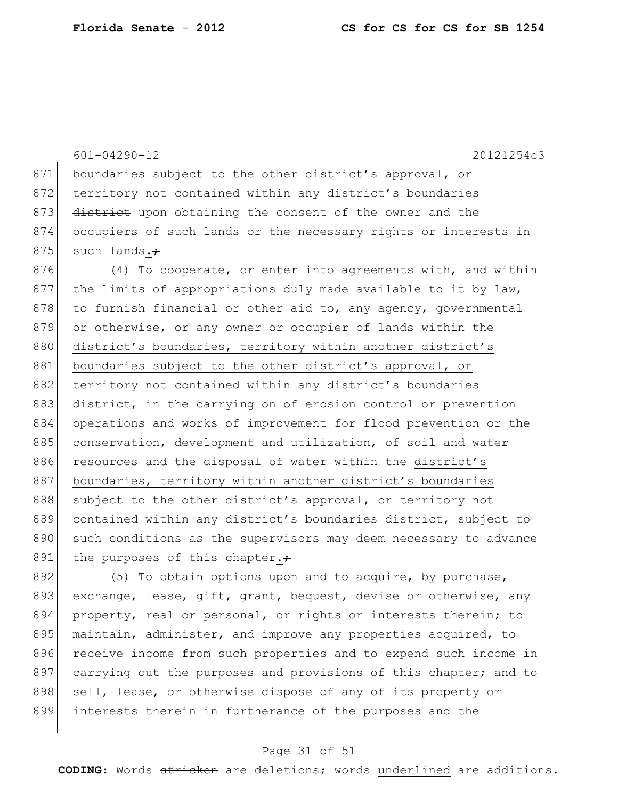601-04290-12 20121254c3 871 boundaries subject to the other district's approval, or 872 territory not contained within any district's boundaries 873 district upon obtaining the consent of the owner and the 874 occupiers of such lands or the necessary rights or interests in 875 such lands. $\div$ 876 (4) To cooperate, or enter into agreements with, and within  $877$  the limits of appropriations duly made available to it by law,

 $878$  to furnish financial or other aid to, any agency, governmental 879 or otherwise, or any owner or occupier of lands within the 880 district's boundaries, territory within another district's 881 boundaries subject to the other district's approval, or 882 territory not contained within any district's boundaries 883 district, in the carrying on of erosion control or prevention 884 operations and works of improvement for flood prevention or the 885 conservation, development and utilization, of soil and water 886 resources and the disposal of water within the district's 887 boundaries, territory within another district's boundaries 888 subject to the other district's approval, or territory not 889 contained within any district's boundaries district, subject to 890 such conditions as the supervisors may deem necessary to advance 891 the purposes of this chapter. $\div$ 

892  $(5)$  To obtain options upon and to acquire, by purchase, 893 exchange, lease, gift, grant, bequest, devise or otherwise, any 894 property, real or personal, or rights or interests therein; to 895 maintain, administer, and improve any properties acquired, to 896 receive income from such properties and to expend such income in 897 carrying out the purposes and provisions of this chapter; and to 898 sell, lease, or otherwise dispose of any of its property or 899 interests therein in furtherance of the purposes and the

#### Page 31 of 51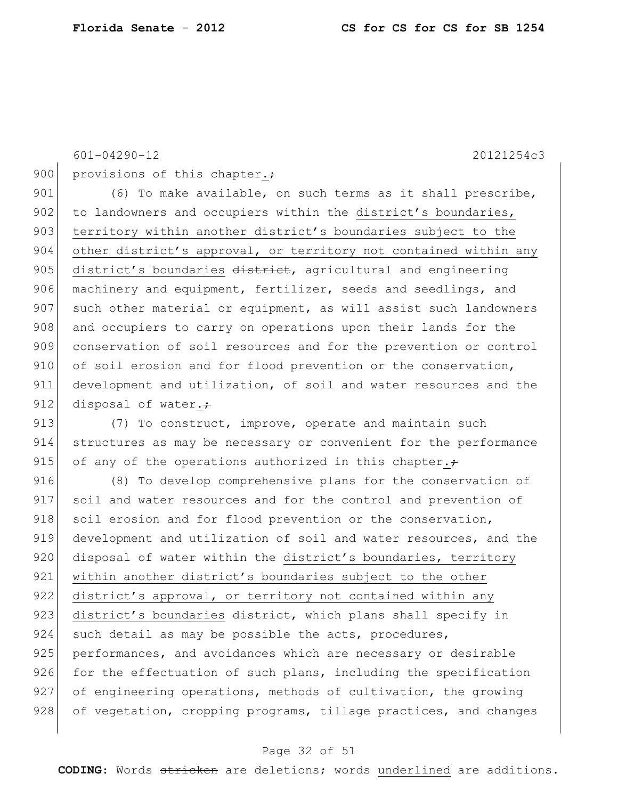601-04290-12 20121254c3

900 provisions of this chapter. $\div$ 

901 (6) To make available, on such terms as it shall prescribe, 902 to landowners and occupiers within the district's boundaries, 903 territory within another district's boundaries subject to the 904 other district's approval, or territory not contained within any 905 district's boundaries district, agricultural and engineering 906 machinery and equipment, fertilizer, seeds and seedlings, and 907 such other material or equipment, as will assist such landowners 908 and occupiers to carry on operations upon their lands for the 909 conservation of soil resources and for the prevention or control 910 of soil erosion and for flood prevention or the conservation, 911 development and utilization, of soil and water resources and the 912 disposal of water. $\div$ 

913 (7) To construct, improve, operate and maintain such 914 structures as may be necessary or convenient for the performance 915 of any of the operations authorized in this chapter. $\div$ 

916 (8) To develop comprehensive plans for the conservation of 917 soil and water resources and for the control and prevention of 918 soil erosion and for flood prevention or the conservation, 919 development and utilization of soil and water resources, and the 920 disposal of water within the district's boundaries, territory 921 within another district's boundaries subject to the other 922 district's approval, or territory not contained within any 923 district's boundaries district, which plans shall specify in 924 such detail as may be possible the acts, procedures, 925 performances, and avoidances which are necessary or desirable 926 for the effectuation of such plans, including the specification 927 of engineering operations, methods of cultivation, the growing 928 of vegetation, cropping programs, tillage practices, and changes

#### Page 32 of 51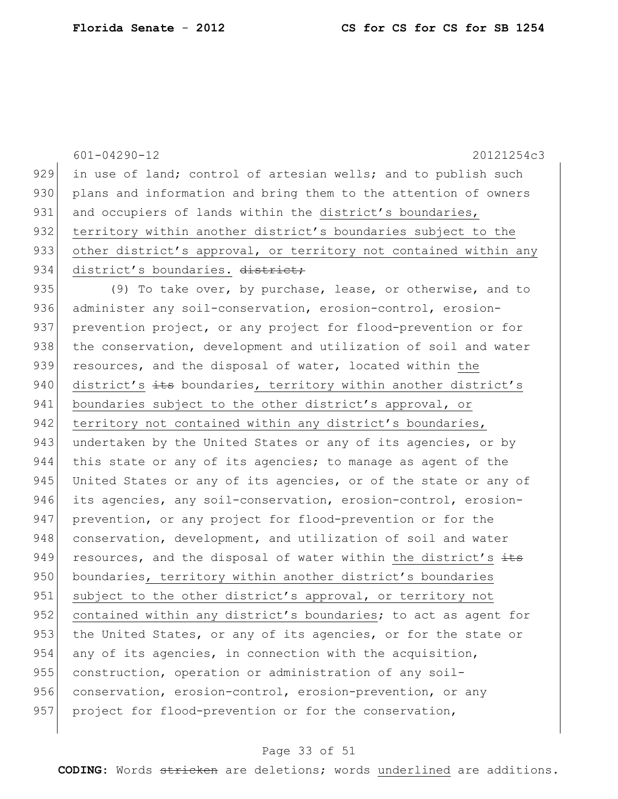601-04290-12 20121254c3 929 in use of land; control of artesian wells; and to publish such 930 plans and information and bring them to the attention of owners 931 and occupiers of lands within the district's boundaries, 932 territory within another district's boundaries subject to the 933 other district's approval, or territory not contained within any 934 district's boundaries. district; 935 (9) To take over, by purchase, lease, or otherwise, and to 936 administer any soil-conservation, erosion-control, erosion-937 prevention project, or any project for flood-prevention or for 938 the conservation, development and utilization of soil and water 939 resources, and the disposal of water, located within the 940 district's  $\pm t$ s boundaries, territory within another district's 941 boundaries subject to the other district's approval, or 942 territory not contained within any district's boundaries, 943 undertaken by the United States or any of its agencies, or by 944 this state or any of its agencies; to manage as agent of the 945 United States or any of its agencies, or of the state or any of 946 its agencies, any soil-conservation, erosion-control, erosion-947 prevention, or any project for flood-prevention or for the 948 conservation, development, and utilization of soil and water 949 resources, and the disposal of water within the district's  $\frac{1}{10}$ 950 boundaries, territory within another district's boundaries 951 subject to the other district's approval, or territory not 952 contained within any district's boundaries; to act as agent for 953 the United States, or any of its agencies, or for the state or 954 any of its agencies, in connection with the acquisition, 955 construction, operation or administration of any soil-956 conservation, erosion-control, erosion-prevention, or any 957 project for flood-prevention or for the conservation,

#### Page 33 of 51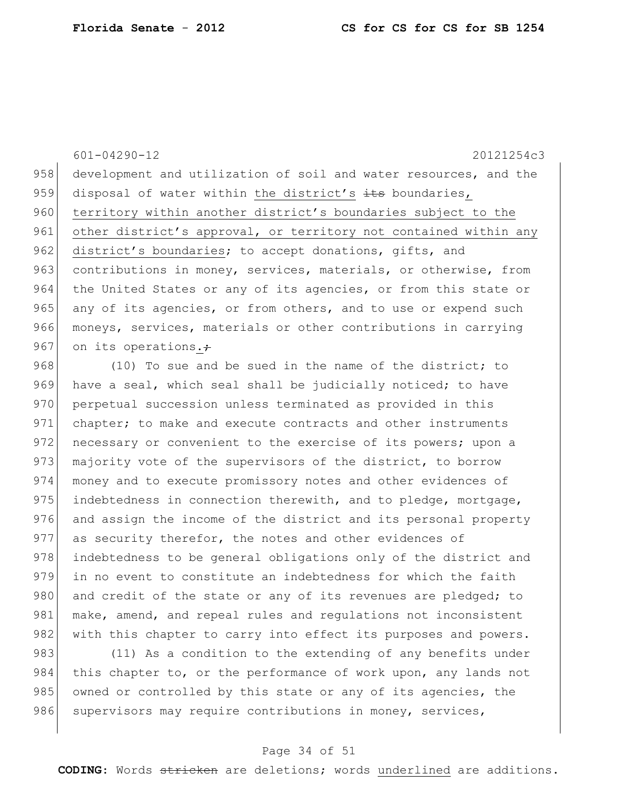601-04290-12 20121254c3 958 development and utilization of soil and water resources, and the 959 disposal of water within the district's  $\pm t$ s boundaries, 960 territory within another district's boundaries subject to the 961 other district's approval, or territory not contained within any 962 district's boundaries; to accept donations, gifts, and 963 contributions in money, services, materials, or otherwise, from 964 the United States or any of its agencies, or from this state or 965 any of its agencies, or from others, and to use or expend such 966 moneys, services, materials or other contributions in carrying 967 on its operations. $\div$ 968 (10) To sue and be sued in the name of the district; to 969 have a seal, which seal shall be judicially noticed; to have

970 perpetual succession unless terminated as provided in this 971 chapter; to make and execute contracts and other instruments 972 necessary or convenient to the exercise of its powers; upon a 973 majority vote of the supervisors of the district, to borrow 974 money and to execute promissory notes and other evidences of 975 indebtedness in connection therewith, and to pledge, mortgage, 976 and assign the income of the district and its personal property 977 as security therefor, the notes and other evidences of 978 indebtedness to be general obligations only of the district and 979 in no event to constitute an indebtedness for which the faith 980 and credit of the state or any of its revenues are pledged; to 981 make, amend, and repeal rules and regulations not inconsistent 982 with this chapter to carry into effect its purposes and powers.

983 (11) As a condition to the extending of any benefits under 984 this chapter to, or the performance of work upon, any lands not 985 owned or controlled by this state or any of its agencies, the 986 supervisors may require contributions in money, services,

#### Page 34 of 51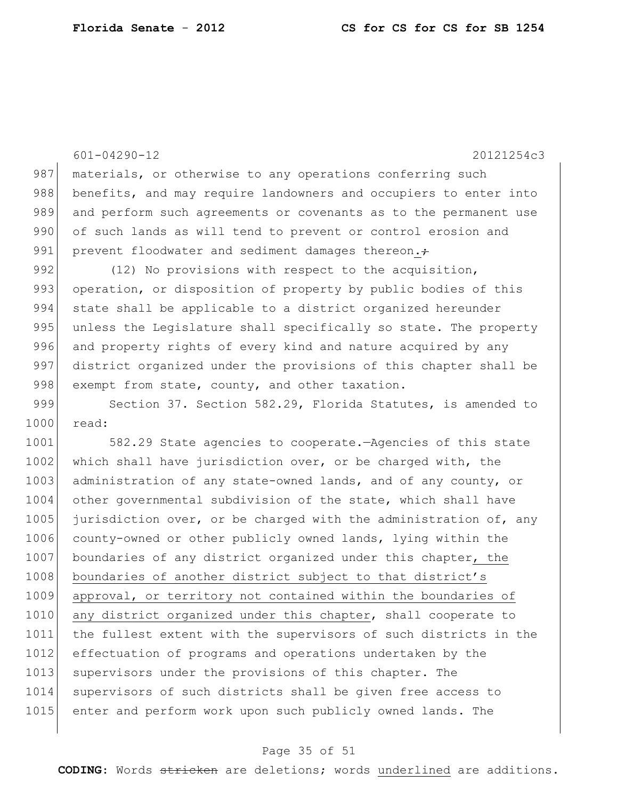601-04290-12 20121254c3 987 materials, or otherwise to any operations conferring such 988 benefits, and may require landowners and occupiers to enter into 989 and perform such agreements or covenants as to the permanent use 990 of such lands as will tend to prevent or control erosion and 991 prevent floodwater and sediment damages thereon. $\div$ 992 (12) No provisions with respect to the acquisition, 993 operation, or disposition of property by public bodies of this 994 state shall be applicable to a district organized hereunder 995 unless the Legislature shall specifically so state. The property 996 and property rights of every kind and nature acquired by any 997 district organized under the provisions of this chapter shall be 998 exempt from state, county, and other taxation. 999 Section 37. Section 582.29, Florida Statutes, is amended to 1000 read: 1001 582.29 State agencies to cooperate.—Agencies of this state 1002 which shall have jurisdiction over, or be charged with, the 1003 administration of any state-owned lands, and of any county, or 1004 other governmental subdivision of the state, which shall have 1005 | jurisdiction over, or be charged with the administration of, any 1006 county-owned or other publicly owned lands, lying within the 1007 boundaries of any district organized under this chapter, the 1008 boundaries of another district subject to that district's 1009 approval, or territory not contained within the boundaries of 1010 any district organized under this chapter, shall cooperate to

1011 the fullest extent with the supervisors of such districts in the 1012 effectuation of programs and operations undertaken by the 1013 supervisors under the provisions of this chapter. The 1014 supervisors of such districts shall be given free access to 1015 enter and perform work upon such publicly owned lands. The

#### Page 35 of 51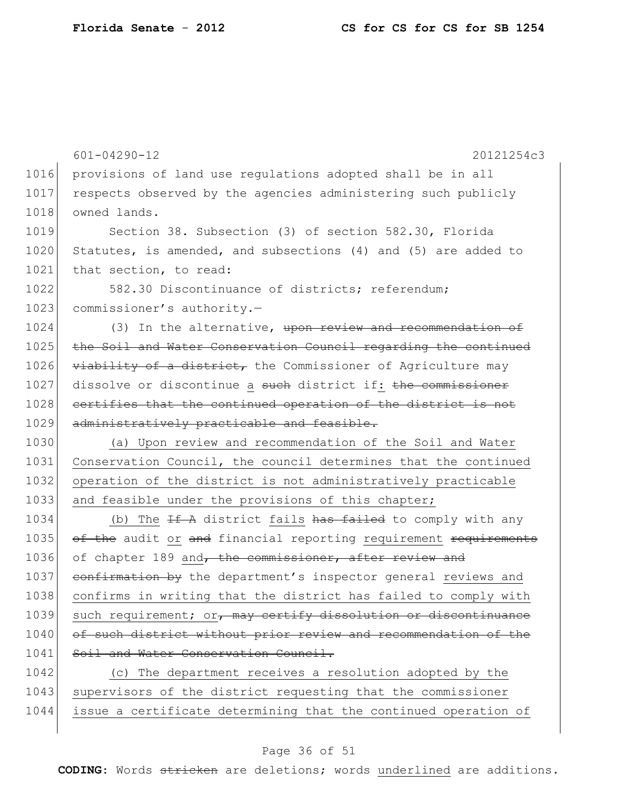|      | $601 - 04290 - 12$<br>20121254c3                                 |  |  |  |  |  |
|------|------------------------------------------------------------------|--|--|--|--|--|
| 1016 | provisions of land use regulations adopted shall be in all       |  |  |  |  |  |
| 1017 | respects observed by the agencies administering such publicly    |  |  |  |  |  |
| 1018 | owned lands.                                                     |  |  |  |  |  |
| 1019 | Section 38. Subsection (3) of section 582.30, Florida            |  |  |  |  |  |
| 1020 | Statutes, is amended, and subsections (4) and (5) are added to   |  |  |  |  |  |
| 1021 | that section, to read:                                           |  |  |  |  |  |
| 1022 | 582.30 Discontinuance of districts; referendum;                  |  |  |  |  |  |
| 1023 | commissioner's authority.-                                       |  |  |  |  |  |
| 1024 | (3) In the alternative, upon review and recommendation of        |  |  |  |  |  |
| 1025 | the Soil and Water Conservation Council regarding the continued  |  |  |  |  |  |
| 1026 | viability of a district, the Commissioner of Agriculture may     |  |  |  |  |  |
| 1027 | dissolve or discontinue a such district if: the commissioner     |  |  |  |  |  |
| 1028 | certifies that the continued operation of the district is not    |  |  |  |  |  |
| 1029 | administratively practicable and feasible.                       |  |  |  |  |  |
| 1030 | (a) Upon review and recommendation of the Soil and Water         |  |  |  |  |  |
| 1031 | Conservation Council, the council determines that the continued  |  |  |  |  |  |
| 1032 | operation of the district is not administratively practicable    |  |  |  |  |  |
| 1033 | and feasible under the provisions of this chapter;               |  |  |  |  |  |
| 1034 | (b) The $H^+$ district fails has failed to comply with any       |  |  |  |  |  |
| 1035 | of the audit or and financial reporting requirement requirements |  |  |  |  |  |
| 1036 | of chapter 189 and, the commissioner, after review and           |  |  |  |  |  |
| 1037 | confirmation by the department's inspector general reviews and   |  |  |  |  |  |
| 1038 | confirms in writing that the district has failed to comply with  |  |  |  |  |  |
| 1039 | such requirement; or, may certify dissolution or discontinuance  |  |  |  |  |  |
| 1040 | of such district without prior review and recommendation of the  |  |  |  |  |  |
| 1041 | Soil and Water Conservation Council.                             |  |  |  |  |  |
| 1042 | (c) The department receives a resolution adopted by the          |  |  |  |  |  |
| 1043 | supervisors of the district requesting that the commissioner     |  |  |  |  |  |
| 1044 | issue a certificate determining that the continued operation of  |  |  |  |  |  |
|      |                                                                  |  |  |  |  |  |

# Page 36 of 51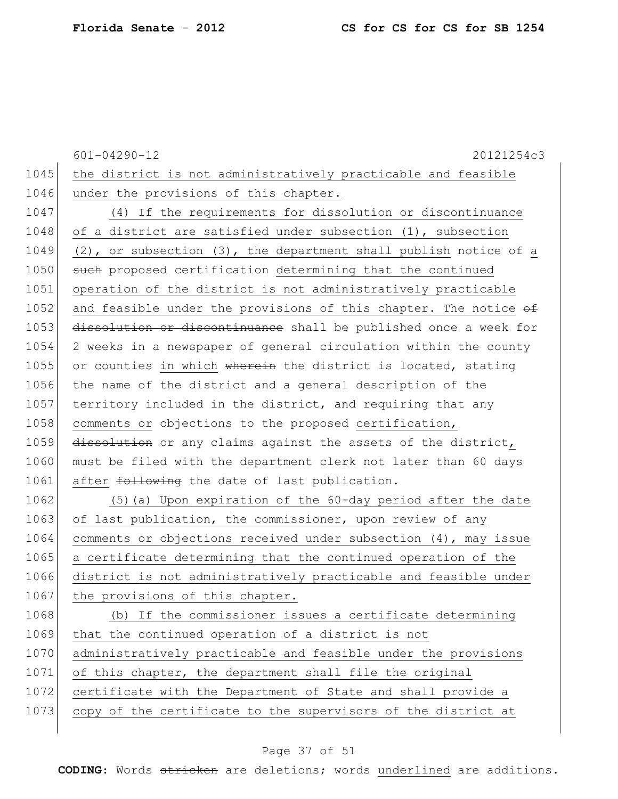|      | $601 - 04290 - 12$<br>20121254c3                                       |
|------|------------------------------------------------------------------------|
| 1045 | the district is not administratively practicable and feasible          |
| 1046 | under the provisions of this chapter.                                  |
| 1047 | (4) If the requirements for dissolution or discontinuance              |
| 1048 | of a district are satisfied under subsection (1), subsection           |
| 1049 | $(2)$ , or subsection $(3)$ , the department shall publish notice of a |
| 1050 | such proposed certification determining that the continued             |
| 1051 | operation of the district is not administratively practicable          |
| 1052 | and feasible under the provisions of this chapter. The notice of       |
| 1053 | dissolution or discontinuance shall be published once a week for       |
| 1054 | 2 weeks in a newspaper of general circulation within the county        |
| 1055 | or counties in which wherein the district is located, stating          |
| 1056 | the name of the district and a general description of the              |
| 1057 | territory included in the district, and requiring that any             |
| 1058 | comments or objections to the proposed certification,                  |
| 1059 | dissolution or any claims against the assets of the district,          |
| 1060 | must be filed with the department clerk not later than 60 days         |
| 1061 | after following the date of last publication.                          |
| 1062 | (5) (a) Upon expiration of the 60-day period after the date            |
| 1063 | of last publication, the commissioner, upon review of any              |
| 1064 | comments or objections received under subsection $(4)$ , may issue     |
| 1065 | a certificate determining that the continued operation of the          |
| 1066 | district is not administratively practicable and feasible under        |
| 1067 | the provisions of this chapter.                                        |
| 1068 | (b) If the commissioner issues a certificate determining               |
| 1069 | that the continued operation of a district is not                      |
| 1070 | administratively practicable and feasible under the provisions         |
| 1071 | of this chapter, the department shall file the original                |
| 1072 | certificate with the Department of State and shall provide a           |
| 1073 | copy of the certificate to the supervisors of the district at          |
|      |                                                                        |

# Page 37 of 51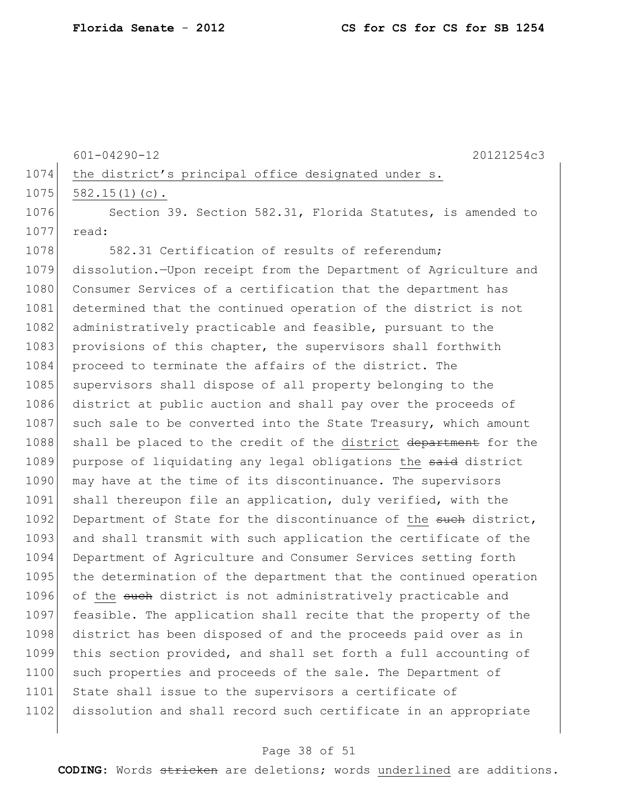601-04290-12 20121254c3

|  | 1074 the district's principal office designated under s. |  |  |  |
|--|----------------------------------------------------------|--|--|--|
|  | $1075$ 582.15(1)(c).                                     |  |  |  |

1076 Section 39. Section 582.31, Florida Statutes, is amended to 1077 read:

1078 582.31 Certification of results of referendum; 1079 dissolution.—Upon receipt from the Department of Agriculture and 1080 Consumer Services of a certification that the department has 1081 determined that the continued operation of the district is not 1082 administratively practicable and feasible, pursuant to the 1083 provisions of this chapter, the supervisors shall forthwith 1084 proceed to terminate the affairs of the district. The 1085 supervisors shall dispose of all property belonging to the 1086 district at public auction and shall pay over the proceeds of 1087 such sale to be converted into the State Treasury, which amount 1088 shall be placed to the credit of the district department for the 1089 purpose of liquidating any legal obligations the said district 1090 may have at the time of its discontinuance. The supervisors 1091 shall thereupon file an application, duly verified, with the 1092 Department of State for the discontinuance of the such district, 1093 and shall transmit with such application the certificate of the 1094 Department of Agriculture and Consumer Services setting forth 1095 the determination of the department that the continued operation 1096 of the such district is not administratively practicable and 1097 feasible. The application shall recite that the property of the 1098 district has been disposed of and the proceeds paid over as in 1099 this section provided, and shall set forth a full accounting of 1100 such properties and proceeds of the sale. The Department of 1101 State shall issue to the supervisors a certificate of 1102 dissolution and shall record such certificate in an appropriate

#### Page 38 of 51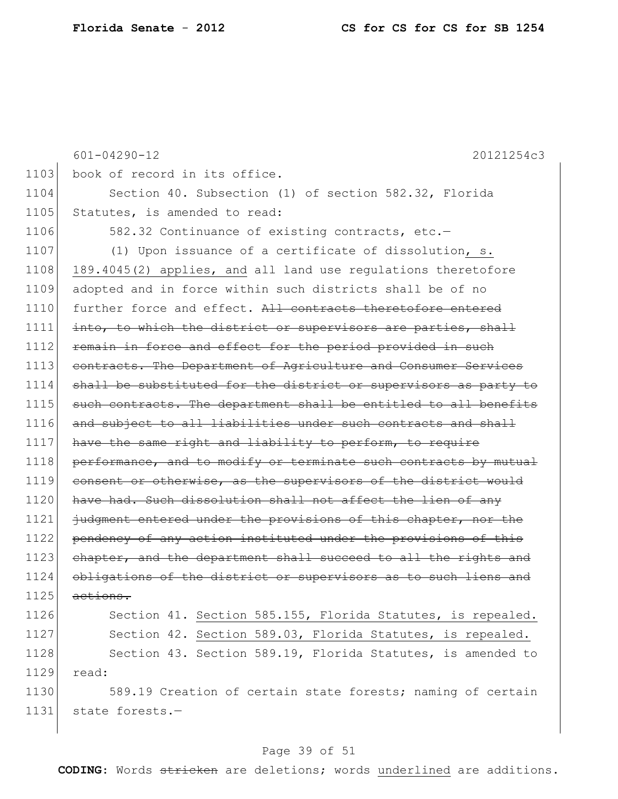|      | $601 - 04290 - 12$<br>20121254c3                                 |  |  |  |  |
|------|------------------------------------------------------------------|--|--|--|--|
| 1103 | book of record in its office.                                    |  |  |  |  |
| 1104 | Section 40. Subsection (1) of section 582.32, Florida            |  |  |  |  |
| 1105 | Statutes, is amended to read:                                    |  |  |  |  |
| 1106 | 582.32 Continuance of existing contracts, etc.-                  |  |  |  |  |
| 1107 | (1) Upon issuance of a certificate of dissolution, s.            |  |  |  |  |
| 1108 | 189.4045(2) applies, and all land use regulations theretofore    |  |  |  |  |
| 1109 | adopted and in force within such districts shall be of no        |  |  |  |  |
| 1110 | further force and effect. All contracts theretofore entered      |  |  |  |  |
| 1111 | into, to which the district or supervisors are parties, shall    |  |  |  |  |
| 1112 | remain in force and effect for the period provided in such       |  |  |  |  |
| 1113 | contracts. The Department of Agriculture and Consumer Services   |  |  |  |  |
| 1114 | shall be substituted for the district or supervisors as party to |  |  |  |  |
| 1115 | such contracts. The department shall be entitled to all benefits |  |  |  |  |
| 1116 | and subject to all liabilities under such contracts and shall    |  |  |  |  |
| 1117 | have the same right and liability to perform, to require         |  |  |  |  |
| 1118 | performance, and to modify or terminate such contracts by mutual |  |  |  |  |
| 1119 | consent or otherwise, as the supervisors of the district would   |  |  |  |  |
| 1120 | have had. Such dissolution shall not affect the lien of any      |  |  |  |  |
| 1121 | judgment entered under the provisions of this chapter, nor the   |  |  |  |  |
| 1122 | pendency of any action instituted under the provisions of this   |  |  |  |  |
| 1123 | chapter, and the department shall succeed to all the rights and  |  |  |  |  |
| 1124 | obligations of the district or supervisors as to such liens and  |  |  |  |  |
| 1125 | actions.                                                         |  |  |  |  |
| 1126 | Section 41. Section 585.155, Florida Statutes, is repealed.      |  |  |  |  |
| 1127 | Section 42. Section 589.03, Florida Statutes, is repealed.       |  |  |  |  |
| 1128 | Section 43. Section 589.19, Florida Statutes, is amended to      |  |  |  |  |
| 1129 | read:                                                            |  |  |  |  |
| 1130 | 589.19 Creation of certain state forests; naming of certain      |  |  |  |  |
| 1131 | state forests.-                                                  |  |  |  |  |

# Page 39 of 51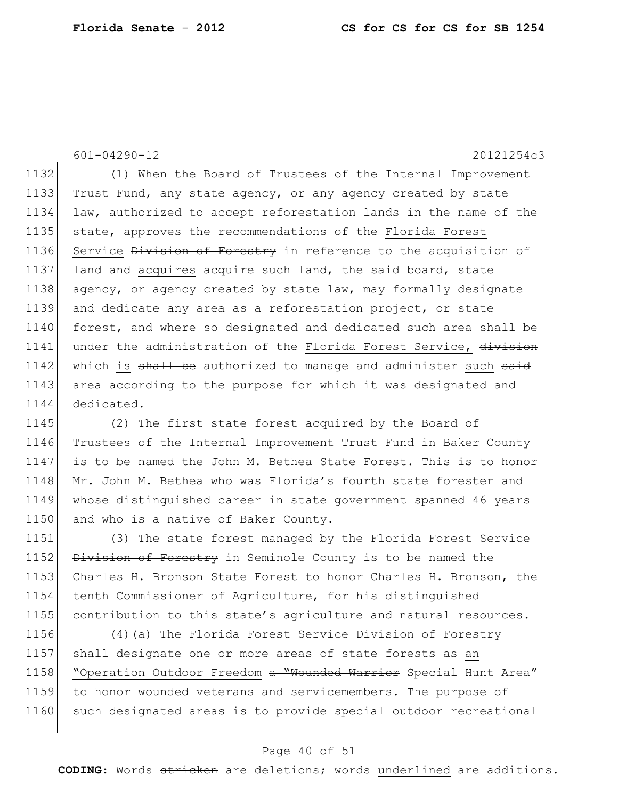601-04290-12 20121254c3

1132 (1) When the Board of Trustees of the Internal Improvement 1133 Trust Fund, any state agency, or any agency created by state 1134 law, authorized to accept reforestation lands in the name of the 1135 state, approves the recommendations of the Florida Forest 1136 Service Division of Forestry in reference to the acquisition of 1137 land and acquires acquire such land, the said board, state 1138 agency, or agency created by state law<sub> $\tau$ </sub> may formally designate 1139 and dedicate any area as a reforestation project, or state 1140 forest, and where so designated and dedicated such area shall be 1141 under the administration of the Florida Forest Service, division 1142 which is shall be authorized to manage and administer such said 1143 area according to the purpose for which it was designated and 1144 dedicated.

1145 (2) The first state forest acquired by the Board of 1146 Trustees of the Internal Improvement Trust Fund in Baker County 1147 is to be named the John M. Bethea State Forest. This is to honor 1148 Mr. John M. Bethea who was Florida's fourth state forester and 1149 whose distinguished career in state government spanned 46 years 1150 and who is a native of Baker County.

1151 (3) The state forest managed by the Florida Forest Service 1152 Division of Forestry in Seminole County is to be named the 1153 Charles H. Bronson State Forest to honor Charles H. Bronson, the 1154 tenth Commissioner of Agriculture, for his distinguished 1155 contribution to this state's agriculture and natural resources.

1156 (4)(a) The Florida Forest Service <del>Division of Forestry</del> 1157 shall designate one or more areas of state forests as an 1158 "Operation Outdoor Freedom a "Wounded Warrior Special Hunt Area" 1159 to honor wounded veterans and servicemembers. The purpose of 1160 such designated areas is to provide special outdoor recreational

#### Page 40 of 51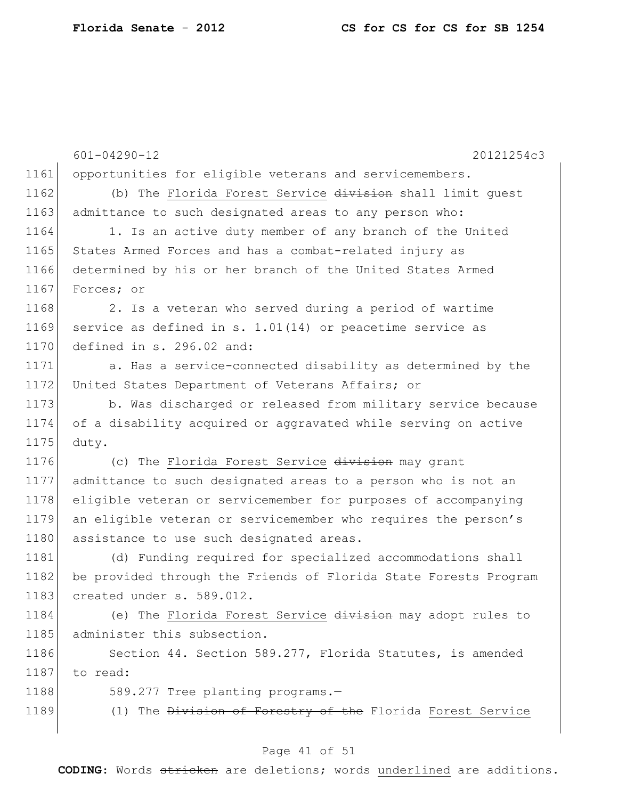601-04290-12 20121254c3 1161 opportunities for eligible veterans and servicemembers. 1162 (b) The Florida Forest Service division shall limit guest 1163 admittance to such designated areas to any person who: 1164 1. Is an active duty member of any branch of the United 1165 States Armed Forces and has a combat-related injury as 1166 determined by his or her branch of the United States Armed 1167 Forces; or 1168 2. Is a veteran who served during a period of wartime 1169 service as defined in s. 1.01(14) or peacetime service as 1170 defined in s. 296.02 and: 1171 a. Has a service-connected disability as determined by the 1172 United States Department of Veterans Affairs; or 1173 b. Was discharged or released from military service because 1174 of a disability acquired or aggravated while serving on active 1175 duty. 1176 (c) The Florida Forest Service division may grant 1177 admittance to such designated areas to a person who is not an 1178 eligible veteran or servicemember for purposes of accompanying 1179 an eligible veteran or servicemember who requires the person's 1180 assistance to use such designated areas. 1181 (d) Funding required for specialized accommodations shall 1182 be provided through the Friends of Florida State Forests Program 1183 created under s. 589.012. 1184 (e) The Florida Forest Service division may adopt rules to 1185 administer this subsection. 1186 Section 44. Section 589.277, Florida Statutes, is amended 1187 to read: 1188 589.277 Tree planting programs.-1189 (1) The Division of Forestry of the Florida Forest Service

#### Page 41 of 51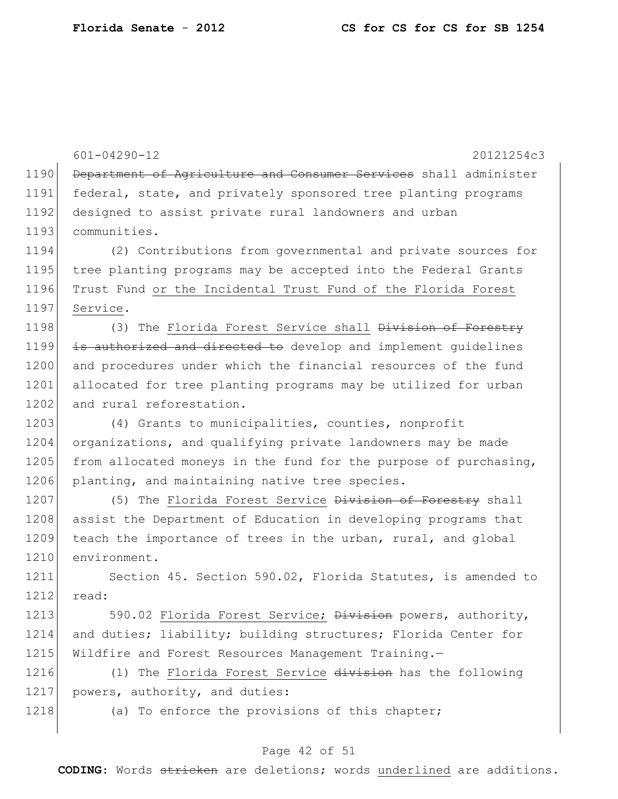601-04290-12 20121254c3 1190 Department of Agriculture and Consumer Services shall administer 1191 federal, state, and privately sponsored tree planting programs 1192 designed to assist private rural landowners and urban 1193 communities. 1194 (2) Contributions from governmental and private sources for 1195 tree planting programs may be accepted into the Federal Grants 1196 Trust Fund or the Incidental Trust Fund of the Florida Forest 1197 Service. 1198 (3) The Florida Forest Service shall <del>Division of Forestry</del> 1199 is authorized and directed to develop and implement quidelines 1200 and procedures under which the financial resources of the fund 1201 allocated for tree planting programs may be utilized for urban 1202 and rural reforestation. 1203 (4) Grants to municipalities, counties, nonprofit 1204 organizations, and qualifying private landowners may be made 1205 from allocated moneys in the fund for the purpose of purchasing, 1206 planting, and maintaining native tree species. 1207 (5) The Florida Forest Service Division of Forestry shall 1208 assist the Department of Education in developing programs that 1209 teach the importance of trees in the urban, rural, and global 1210 environment. 1211 Section 45. Section 590.02, Florida Statutes, is amended to 1212 read: 1213 590.02 Florida Forest Service; Division powers, authority, 1214 and duties; liability; building structures; Florida Center for 1215 Wildfire and Forest Resources Management Training.-1216 (1) The Florida Forest Service division has the following 1217 powers, authority, and duties: 1218 (a) To enforce the provisions of this chapter;

#### Page 42 of 51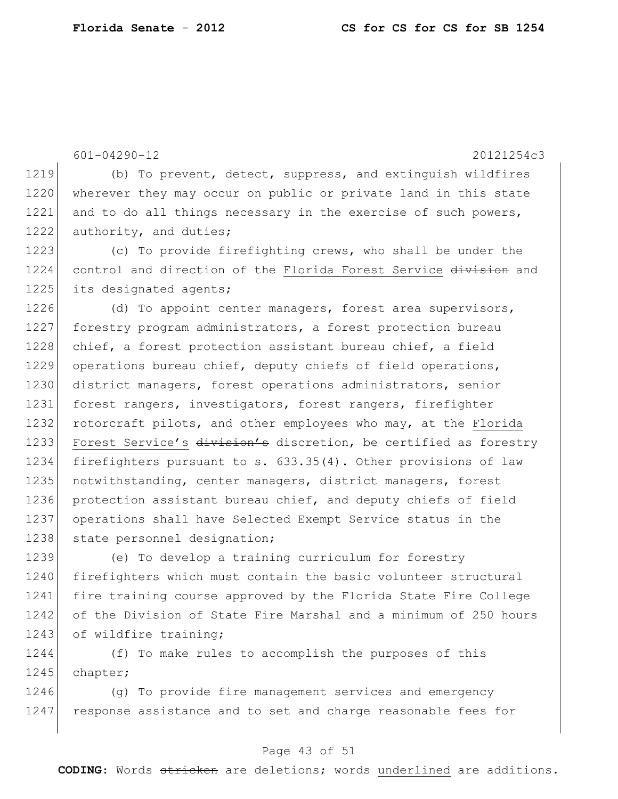601-04290-12 20121254c3 1219 (b) To prevent, detect, suppress, and extinguish wildfires 1220 wherever they may occur on public or private land in this state 1221 and to do all things necessary in the exercise of such powers, 1222 authority, and duties; 1223 (c) To provide firefighting crews, who shall be under the 1224 control and direction of the Florida Forest Service division and 1225 its designated agents; 1226 (d) To appoint center managers, forest area supervisors,

1227 forestry program administrators, a forest protection bureau 1228 chief, a forest protection assistant bureau chief, a field 1229 operations bureau chief, deputy chiefs of field operations, 1230 district managers, forest operations administrators, senior 1231 forest rangers, investigators, forest rangers, firefighter 1232 rotorcraft pilots, and other employees who may, at the Florida 1233 Forest Service's division's discretion, be certified as forestry 1234 firefighters pursuant to s. 633.35(4). Other provisions of law 1235 notwithstanding, center managers, district managers, forest 1236 protection assistant bureau chief, and deputy chiefs of field 1237 operations shall have Selected Exempt Service status in the 1238 state personnel designation;

1239 (e) To develop a training curriculum for forestry 1240 firefighters which must contain the basic volunteer structural 1241 fire training course approved by the Florida State Fire College 1242 of the Division of State Fire Marshal and a minimum of 250 hours 1243 of wildfire training;

1244 (f) To make rules to accomplish the purposes of this 1245 chapter;

1246 (g) To provide fire management services and emergency 1247 response assistance and to set and charge reasonable fees for

#### Page 43 of 51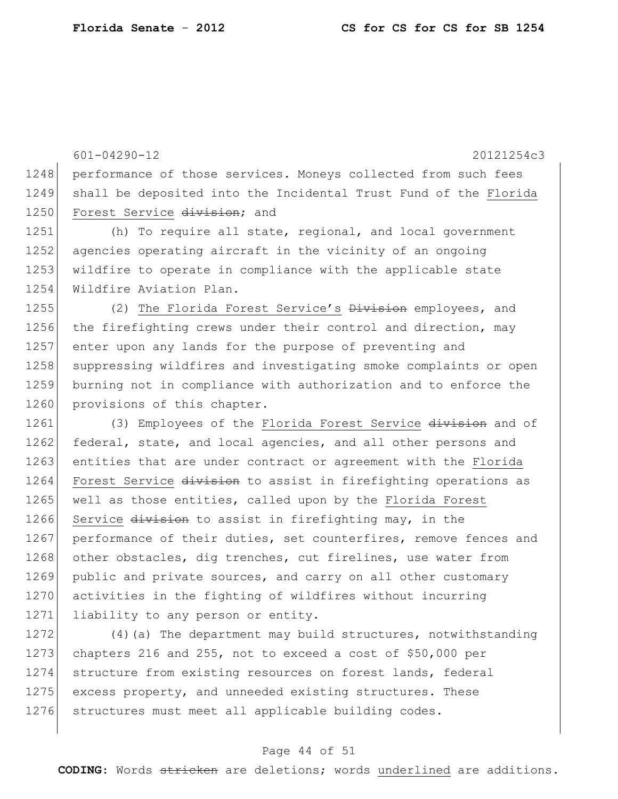601-04290-12 20121254c3 1248 performance of those services. Moneys collected from such fees 1249 shall be deposited into the Incidental Trust Fund of the Florida 1250 Forest Service division; and

1251 (h) To require all state, regional, and local government 1252 agencies operating aircraft in the vicinity of an ongoing 1253 wildfire to operate in compliance with the applicable state 1254 Wildfire Aviation Plan.

1255 (2) The Florida Forest Service's Division employees, and 1256 the firefighting crews under their control and direction, may 1257 enter upon any lands for the purpose of preventing and 1258 suppressing wildfires and investigating smoke complaints or open 1259 burning not in compliance with authorization and to enforce the 1260 provisions of this chapter.

1261 (3) Employees of the Florida Forest Service division and of 1262 federal, state, and local agencies, and all other persons and 1263 entities that are under contract or agreement with the Florida 1264 Forest Service division to assist in firefighting operations as 1265 well as those entities, called upon by the Florida Forest 1266 Service division to assist in firefighting may, in the 1267 performance of their duties, set counterfires, remove fences and 1268 other obstacles, dig trenches, cut firelines, use water from 1269 public and private sources, and carry on all other customary 1270 activities in the fighting of wildfires without incurring 1271 liability to any person or entity.

1272 (4)(a) The department may build structures, notwithstanding 1273 chapters 216 and 255, not to exceed a cost of \$50,000 per 1274 structure from existing resources on forest lands, federal 1275 excess property, and unneeded existing structures. These 1276 structures must meet all applicable building codes.

#### Page 44 of 51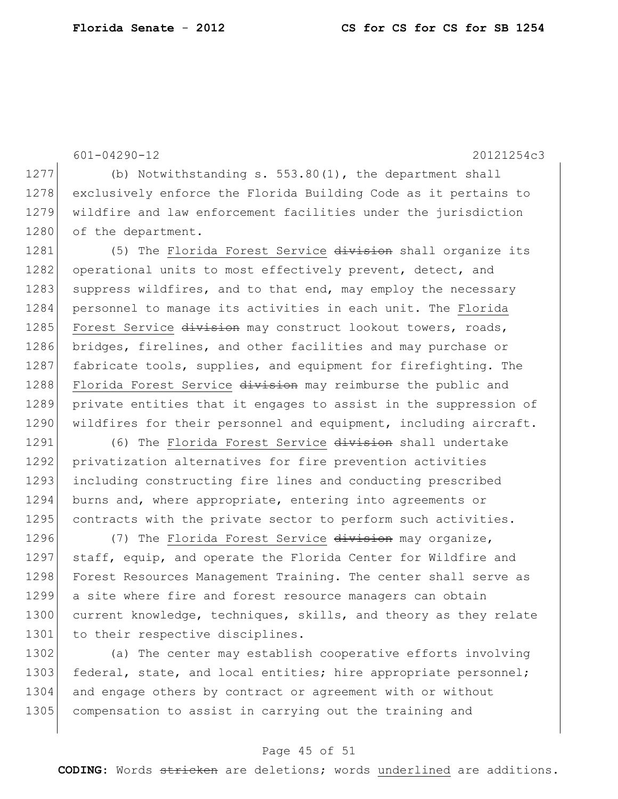601-04290-12 20121254c3 1277 (b) Notwithstanding s. 553.80(1), the department shall 1278 exclusively enforce the Florida Building Code as it pertains to

1280 of the department. 1281 (5) The Florida Forest Service division shall organize its 1282 operational units to most effectively prevent, detect, and 1283 suppress wildfires, and to that end, may employ the necessary 1284 personnel to manage its activities in each unit. The Florida 1285 Forest Service division may construct lookout towers, roads, 1286 bridges, firelines, and other facilities and may purchase or 1287 fabricate tools, supplies, and equipment for firefighting. The 1288 Florida Forest Service division may reimburse the public and 1289 private entities that it engages to assist in the suppression of 1290 | wildfires for their personnel and equipment, including aircraft.

1279 wildfire and law enforcement facilities under the jurisdiction

1291 (6) The Florida Forest Service division shall undertake 1292 privatization alternatives for fire prevention activities 1293 including constructing fire lines and conducting prescribed 1294 burns and, where appropriate, entering into agreements or 1295 contracts with the private sector to perform such activities.

1296 (7) The Florida Forest Service division may organize, 1297 staff, equip, and operate the Florida Center for Wildfire and 1298 Forest Resources Management Training. The center shall serve as 1299 a site where fire and forest resource managers can obtain 1300 current knowledge, techniques, skills, and theory as they relate 1301 to their respective disciplines.

1302 (a) The center may establish cooperative efforts involving 1303 federal, state, and local entities; hire appropriate personnel; 1304 and engage others by contract or agreement with or without 1305 compensation to assist in carrying out the training and

#### Page 45 of 51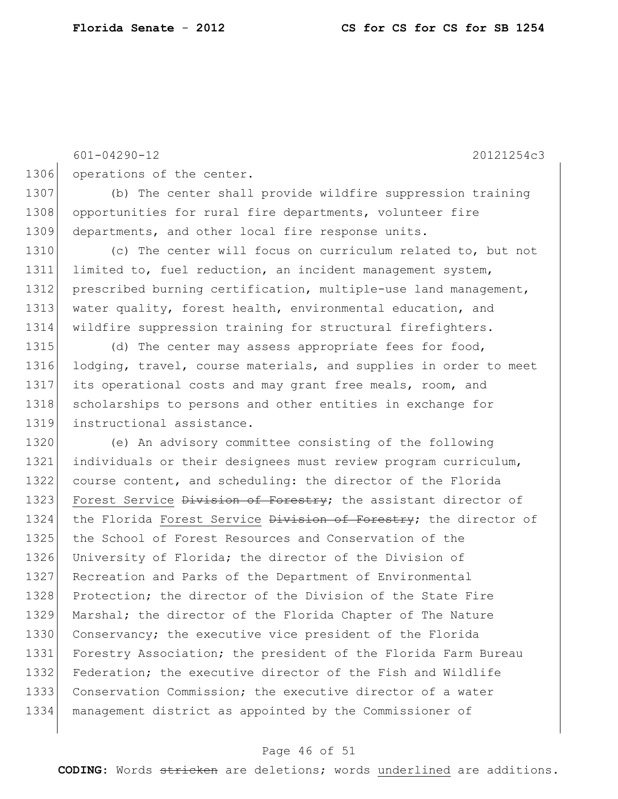601-04290-12 20121254c3 1306 operations of the center. 1307 (b) The center shall provide wildfire suppression training 1308 opportunities for rural fire departments, volunteer fire 1309 departments, and other local fire response units. 1310 (c) The center will focus on curriculum related to, but not 1311 limited to, fuel reduction, an incident management system, 1312 prescribed burning certification, multiple-use land management, 1313 water quality, forest health, environmental education, and 1314 wildfire suppression training for structural firefighters. 1315 (d) The center may assess appropriate fees for food, 1316 lodging, travel, course materials, and supplies in order to meet 1317 its operational costs and may grant free meals, room, and 1318 scholarships to persons and other entities in exchange for 1319 instructional assistance. 1320 (e) An advisory committee consisting of the following 1321 individuals or their designees must review program curriculum, 1322 course content, and scheduling: the director of the Florida 1323 Forest Service Division of Forestry; the assistant director of 1324 the Florida Forest Service <del>Division of Forestry</del>; the director of 1325 the School of Forest Resources and Conservation of the 1326 University of Florida; the director of the Division of 1327 Recreation and Parks of the Department of Environmental 1328 Protection; the director of the Division of the State Fire 1329 Marshal; the director of the Florida Chapter of The Nature 1330 Conservancy; the executive vice president of the Florida 1331 Forestry Association; the president of the Florida Farm Bureau 1332 Federation; the executive director of the Fish and Wildlife 1333 Conservation Commission; the executive director of a water 1334 management district as appointed by the Commissioner of

### Page 46 of 51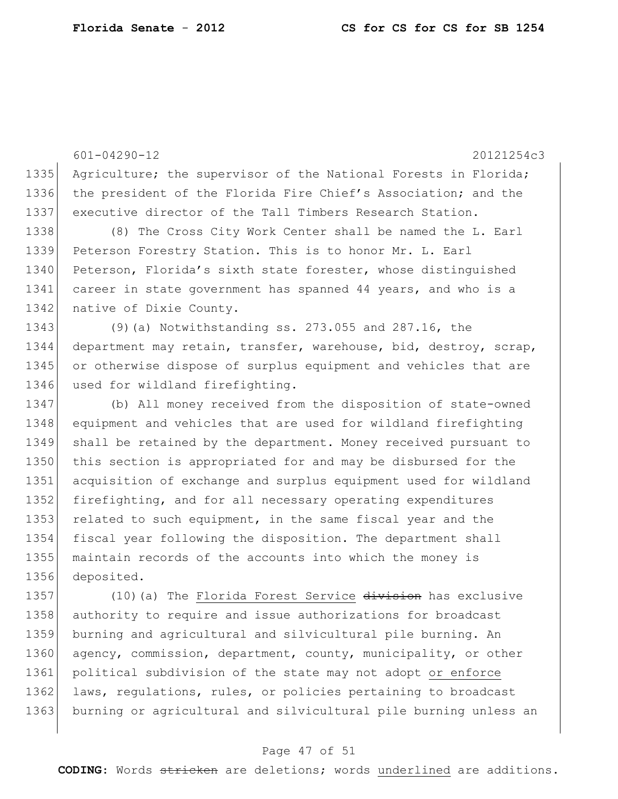601-04290-12 20121254c3 1335 Agriculture; the supervisor of the National Forests in Florida; 1336 the president of the Florida Fire Chief's Association; and the 1337 executive director of the Tall Timbers Research Station. 1338 (8) The Cross City Work Center shall be named the L. Earl 1339 Peterson Forestry Station. This is to honor Mr. L. Earl 1340 Peterson, Florida's sixth state forester, whose distinguished 1341 career in state government has spanned 44 years, and who is a 1342 native of Dixie County. 1343 (9)(a) Notwithstanding ss. 273.055 and 287.16, the 1344 department may retain, transfer, warehouse, bid, destroy, scrap, 1345 or otherwise dispose of surplus equipment and vehicles that are 1346 used for wildland firefighting. 1347 (b) All money received from the disposition of state-owned 1348 equipment and vehicles that are used for wildland firefighting 1349 shall be retained by the department. Money received pursuant to 1350 this section is appropriated for and may be disbursed for the 1351 acquisition of exchange and surplus equipment used for wildland 1352 firefighting, and for all necessary operating expenditures 1353 related to such equipment, in the same fiscal year and the 1354 fiscal year following the disposition. The department shall 1355 maintain records of the accounts into which the money is 1356 deposited. 1357 (10) (a) The Florida Forest Service division has exclusive 1358 authority to require and issue authorizations for broadcast 1359 burning and agricultural and silvicultural pile burning. An 1360 agency, commission, department, county, municipality, or other 1361 political subdivision of the state may not adopt or enforce 1362 laws, regulations, rules, or policies pertaining to broadcast

## 1363 burning or agricultural and silvicultural pile burning unless an

#### Page 47 of 51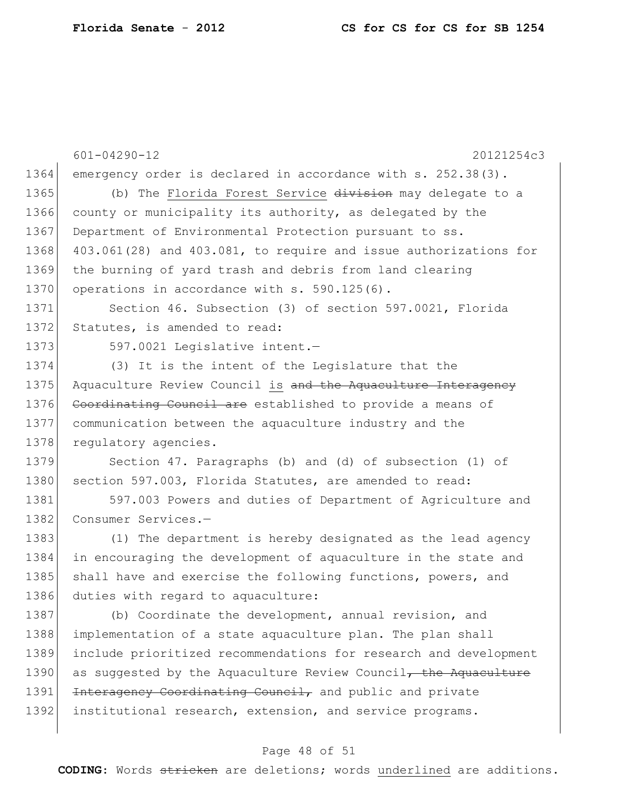601-04290-12 20121254c3 1364 emergency order is declared in accordance with s. 252.38(3). 1365 (b) The Florida Forest Service division may delegate to a 1366 county or municipality its authority, as delegated by the 1367 Department of Environmental Protection pursuant to ss. 1368 403.061(28) and 403.081, to require and issue authorizations for 1369 the burning of yard trash and debris from land clearing 1370 operations in accordance with s. 590.125(6). 1371 Section 46. Subsection (3) of section 597.0021, Florida 1372 Statutes, is amended to read: 1373 597.0021 Legislative intent. 1374 (3) It is the intent of the Legislature that the 1375 Aquaculture Review Council is and the Aquaculture Interagency 1376 Coordinating Council are established to provide a means of 1377 communication between the aquaculture industry and the 1378 regulatory agencies. 1379 Section 47. Paragraphs (b) and (d) of subsection (1) of 1380 section 597.003, Florida Statutes, are amended to read: 1381 597.003 Powers and duties of Department of Agriculture and 1382 Consumer Services.-1383 (1) The department is hereby designated as the lead agency 1384 in encouraging the development of aquaculture in the state and 1385 shall have and exercise the following functions, powers, and 1386 duties with regard to aquaculture: 1387 (b) Coordinate the development, annual revision, and 1388 implementation of a state aquaculture plan. The plan shall 1389 include prioritized recommendations for research and development 1390 as suggested by the Aquaculture Review Council, the Aquaculture 1391 <del>Interagency Coordinating Council,</del> and public and private 1392 institutional research, extension, and service programs.

#### Page 48 of 51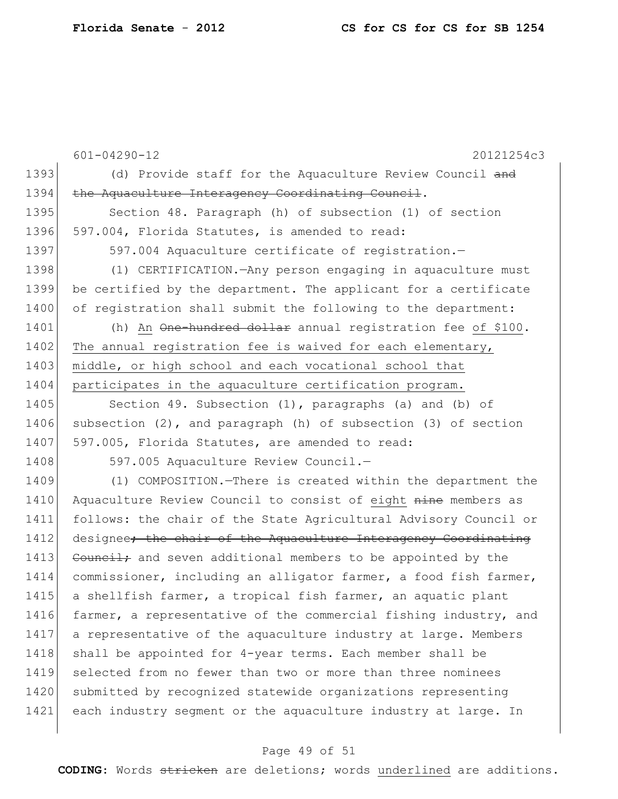601-04290-12 20121254c3 1393 (d) Provide staff for the Aquaculture Review Council and 1394 the Aquaculture Interagency Coordinating Council. 1395 Section 48. Paragraph (h) of subsection (1) of section 1396 597.004, Florida Statutes, is amended to read: 1397 597.004 Aquaculture certificate of registration. 1398 (1) CERTIFICATION.—Any person engaging in aquaculture must 1399 be certified by the department. The applicant for a certificate 1400 of registration shall submit the following to the department: 1401 (h) An <del>One-hundred dollar</del> annual registration fee of \$100. 1402 The annual registration fee is waived for each elementary, 1403 middle, or high school and each vocational school that 1404 participates in the aquaculture certification program. 1405 Section 49. Subsection (1), paragraphs (a) and (b) of 1406 subsection (2), and paragraph (h) of subsection (3) of section 1407 597.005, Florida Statutes, are amended to read: 1408 597.005 Aquaculture Review Council. 1409 (1) COMPOSITION.—There is created within the department the 1410 Aquaculture Review Council to consist of eight nine members as 1411 follows: the chair of the State Agricultural Advisory Council or 1412 designee<del>; the chair of the Aquaculture Interagency Coordinating</del> 1413 Council; and seven additional members to be appointed by the 1414 commissioner, including an alligator farmer, a food fish farmer, 1415 a shellfish farmer, a tropical fish farmer, an aquatic plant 1416 farmer, a representative of the commercial fishing industry, and 1417 a representative of the aquaculture industry at large. Members 1418 shall be appointed for 4-year terms. Each member shall be 1419 selected from no fewer than two or more than three nominees 1420 submitted by recognized statewide organizations representing 1421 each industry segment or the aquaculture industry at large. In

#### Page 49 of 51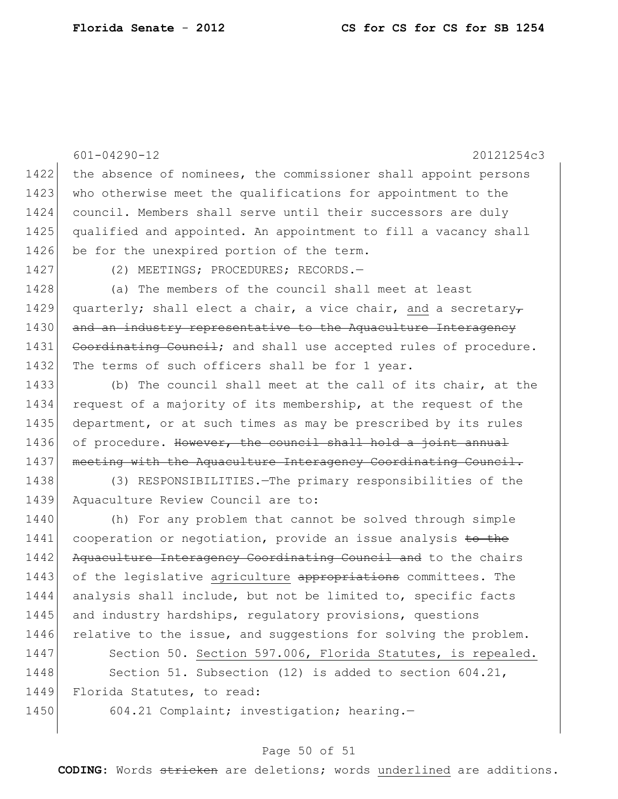601-04290-12 20121254c3 1422 the absence of nominees, the commissioner shall appoint persons 1423 who otherwise meet the qualifications for appointment to the 1424 council. Members shall serve until their successors are duly 1425 qualified and appointed. An appointment to fill a vacancy shall 1426 be for the unexpired portion of the term. 1427 (2) MEETINGS; PROCEDURES; RECORDS.-1428 (a) The members of the council shall meet at least 1429 quarterly; shall elect a chair, a vice chair, and a secretary-1430 and an industry representative to the Aquaculture Interagency 1431 Coordinating Council; and shall use accepted rules of procedure. 1432 The terms of such officers shall be for 1 year. 1433 (b) The council shall meet at the call of its chair, at the 1434 request of a majority of its membership, at the request of the 1435 department, or at such times as may be prescribed by its rules 1436 of procedure. However, the council shall hold a joint annual 1437 | meeting with the Aquaculture Interagency Coordinating Council. 1438 (3) RESPONSIBILITIES.—The primary responsibilities of the 1439 Aquaculture Review Council are to: 1440 (h) For any problem that cannot be solved through simple 1441 cooperation or negotiation, provide an issue analysis to the 1442 Aquaculture Interagency Coordinating Council and to the chairs 1443 of the legislative agriculture appropriations committees. The 1444 analysis shall include, but not be limited to, specific facts 1445 and industry hardships, regulatory provisions, questions 1446 relative to the issue, and suggestions for solving the problem. 1447 Section 50. Section 597.006, Florida Statutes, is repealed. 1448 Section 51. Subsection (12) is added to section 604.21, 1449 Florida Statutes, to read: 1450 604.21 Complaint; investigation; hearing.

#### Page 50 of 51